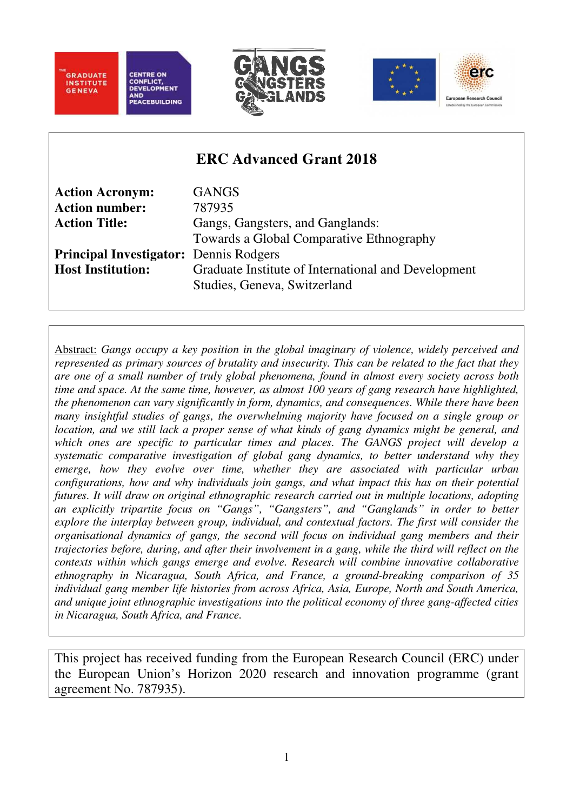







|                                                                           | <b>ERC Advanced Grant 2018</b>                                               |  |  |
|---------------------------------------------------------------------------|------------------------------------------------------------------------------|--|--|
| <b>Action Acronym:</b><br><b>Action number:</b>                           | <b>GANGS</b><br>787935                                                       |  |  |
| <b>Action Title:</b>                                                      | Gangs, Gangsters, and Ganglands:<br>Towards a Global Comparative Ethnography |  |  |
| <b>Principal Investigator:</b> Dennis Rodgers<br><b>Host Institution:</b> | Graduate Institute of International and Development                          |  |  |
|                                                                           | Studies, Geneva, Switzerland                                                 |  |  |

Abstract: *Gangs occupy a key position in the global imaginary of violence, widely perceived and represented as primary sources of brutality and insecurity. This can be related to the fact that they are one of a small number of truly global phenomena, found in almost every society across both time and space. At the same time, however, as almost 100 years of gang research have highlighted, the phenomenon can vary significantly in form, dynamics, and consequences. While there have been many insightful studies of gangs, the overwhelming majority have focused on a single group or location, and we still lack a proper sense of what kinds of gang dynamics might be general, and which ones are specific to particular times and places. The GANGS project will develop a systematic comparative investigation of global gang dynamics, to better understand why they emerge, how they evolve over time, whether they are associated with particular urban configurations, how and why individuals join gangs, and what impact this has on their potential futures. It will draw on original ethnographic research carried out in multiple locations, adopting an explicitly tripartite focus on "Gangs", "Gangsters", and "Ganglands" in order to better explore the interplay between group, individual, and contextual factors. The first will consider the organisational dynamics of gangs, the second will focus on individual gang members and their trajectories before, during, and after their involvement in a gang, while the third will reflect on the contexts within which gangs emerge and evolve. Research will combine innovative collaborative ethnography in Nicaragua, South Africa, and France, a ground-breaking comparison of 35 individual gang member life histories from across Africa, Asia, Europe, North and South America, and unique joint ethnographic investigations into the political economy of three gang-affected cities in Nicaragua, South Africa, and France.* 

This project has received funding from the European Research Council (ERC) under the European Union's Horizon 2020 research and innovation programme (grant agreement No. 787935).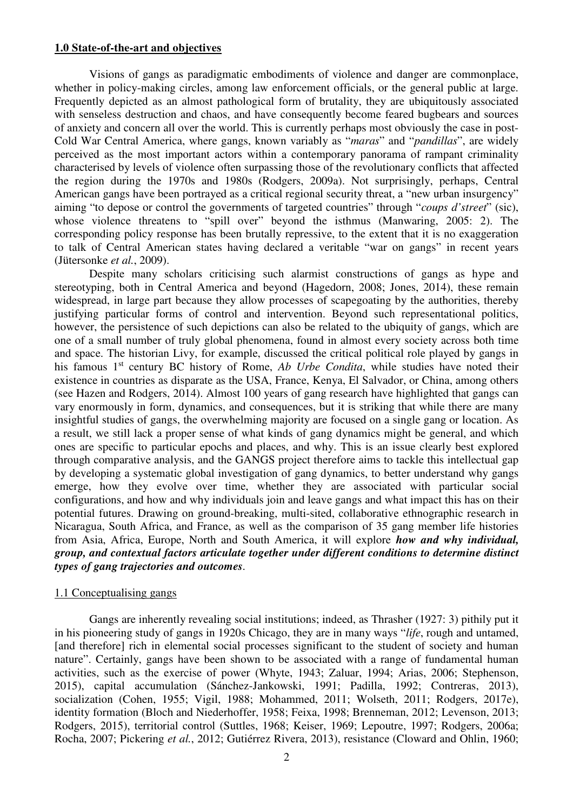### **1.0 State-of-the-art and objectives**

Visions of gangs as paradigmatic embodiments of violence and danger are commonplace, whether in policy-making circles, among law enforcement officials, or the general public at large. Frequently depicted as an almost pathological form of brutality, they are ubiquitously associated with senseless destruction and chaos, and have consequently become feared bugbears and sources of anxiety and concern all over the world. This is currently perhaps most obviously the case in post-Cold War Central America, where gangs, known variably as "*maras*" and "*pandillas*", are widely perceived as the most important actors within a contemporary panorama of rampant criminality characterised by levels of violence often surpassing those of the revolutionary conflicts that affected the region during the 1970s and 1980s (Rodgers, 2009a). Not surprisingly, perhaps, Central American gangs have been portrayed as a critical regional security threat, a "new urban insurgency" aiming "to depose or control the governments of targeted countries" through "*coups d'street*" (sic), whose violence threatens to "spill over" beyond the isthmus (Manwaring, 2005: 2). The corresponding policy response has been brutally repressive, to the extent that it is no exaggeration to talk of Central American states having declared a veritable "war on gangs" in recent years (Jütersonke *et al.*, 2009).

Despite many scholars criticising such alarmist constructions of gangs as hype and stereotyping, both in Central America and beyond (Hagedorn, 2008; Jones, 2014), these remain widespread, in large part because they allow processes of scapegoating by the authorities, thereby justifying particular forms of control and intervention. Beyond such representational politics, however, the persistence of such depictions can also be related to the ubiquity of gangs, which are one of a small number of truly global phenomena, found in almost every society across both time and space. The historian Livy, for example, discussed the critical political role played by gangs in his famous 1<sup>st</sup> century BC history of Rome, *Ab Urbe Condita*, while studies have noted their existence in countries as disparate as the USA, France, Kenya, El Salvador, or China, among others (see Hazen and Rodgers, 2014). Almost 100 years of gang research have highlighted that gangs can vary enormously in form, dynamics, and consequences, but it is striking that while there are many insightful studies of gangs, the overwhelming majority are focused on a single gang or location. As a result, we still lack a proper sense of what kinds of gang dynamics might be general, and which ones are specific to particular epochs and places, and why. This is an issue clearly best explored through comparative analysis, and the GANGS project therefore aims to tackle this intellectual gap by developing a systematic global investigation of gang dynamics, to better understand why gangs emerge, how they evolve over time, whether they are associated with particular social configurations, and how and why individuals join and leave gangs and what impact this has on their potential futures. Drawing on ground-breaking, multi-sited, collaborative ethnographic research in Nicaragua, South Africa, and France, as well as the comparison of 35 gang member life histories from Asia, Africa, Europe, North and South America, it will explore *how and why individual, group, and contextual factors articulate together under different conditions to determine distinct types of gang trajectories and outcomes*.

## 1.1 Conceptualising gangs

Gangs are inherently revealing social institutions; indeed, as Thrasher (1927: 3) pithily put it in his pioneering study of gangs in 1920s Chicago, they are in many ways "*life*, rough and untamed, [and therefore] rich in elemental social processes significant to the student of society and human nature". Certainly, gangs have been shown to be associated with a range of fundamental human activities, such as the exercise of power (Whyte, 1943; Zaluar, 1994; Arias, 2006; Stephenson, 2015), capital accumulation (Sánchez-Jankowski, 1991; Padilla, 1992; Contreras, 2013), socialization (Cohen, 1955; Vigil, 1988; Mohammed, 2011; Wolseth, 2011; Rodgers, 2017e), identity formation (Bloch and Niederhoffer, 1958; Feixa, 1998; Brenneman, 2012; Levenson, 2013; Rodgers, 2015), territorial control (Suttles, 1968; Keiser, 1969; Lepoutre, 1997; Rodgers, 2006a; Rocha, 2007; Pickering *et al.*, 2012; Gutiérrez Rivera, 2013), resistance (Cloward and Ohlin, 1960;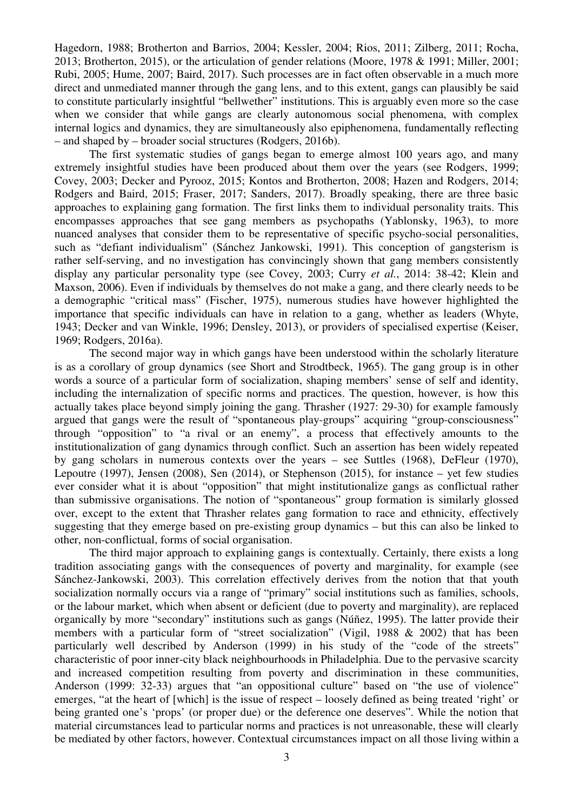Hagedorn, 1988; Brotherton and Barrios, 2004; Kessler, 2004; Rios, 2011; Zilberg, 2011; Rocha, 2013; Brotherton, 2015), or the articulation of gender relations (Moore, 1978 & 1991; Miller, 2001; Rubi, 2005; Hume, 2007; Baird, 2017). Such processes are in fact often observable in a much more direct and unmediated manner through the gang lens, and to this extent, gangs can plausibly be said to constitute particularly insightful "bellwether" institutions. This is arguably even more so the case when we consider that while gangs are clearly autonomous social phenomena, with complex internal logics and dynamics, they are simultaneously also epiphenomena, fundamentally reflecting – and shaped by – broader social structures (Rodgers, 2016b).

 The first systematic studies of gangs began to emerge almost 100 years ago, and many extremely insightful studies have been produced about them over the years (see Rodgers, 1999; Covey, 2003; Decker and Pyrooz, 2015; Kontos and Brotherton, 2008; Hazen and Rodgers, 2014; Rodgers and Baird, 2015; Fraser, 2017; Sanders, 2017). Broadly speaking, there are three basic approaches to explaining gang formation. The first links them to individual personality traits. This encompasses approaches that see gang members as psychopaths (Yablonsky, 1963), to more nuanced analyses that consider them to be representative of specific psycho-social personalities, such as "defiant individualism" (Sánchez Jankowski, 1991). This conception of gangsterism is rather self-serving, and no investigation has convincingly shown that gang members consistently display any particular personality type (see Covey, 2003; Curry *et al.*, 2014: 38-42; Klein and Maxson, 2006). Even if individuals by themselves do not make a gang, and there clearly needs to be a demographic "critical mass" (Fischer, 1975), numerous studies have however highlighted the importance that specific individuals can have in relation to a gang, whether as leaders (Whyte, 1943; Decker and van Winkle, 1996; Densley, 2013), or providers of specialised expertise (Keiser, 1969; Rodgers, 2016a).

 The second major way in which gangs have been understood within the scholarly literature is as a corollary of group dynamics (see Short and Strodtbeck, 1965). The gang group is in other words a source of a particular form of socialization, shaping members' sense of self and identity, including the internalization of specific norms and practices. The question, however, is how this actually takes place beyond simply joining the gang. Thrasher (1927: 29-30) for example famously argued that gangs were the result of "spontaneous play-groups" acquiring "group-consciousness" through "opposition" to "a rival or an enemy", a process that effectively amounts to the institutionalization of gang dynamics through conflict. Such an assertion has been widely repeated by gang scholars in numerous contexts over the years – see Suttles (1968), DeFleur (1970), Lepoutre (1997), Jensen (2008), Sen (2014), or Stephenson (2015), for instance – yet few studies ever consider what it is about "opposition" that might institutionalize gangs as conflictual rather than submissive organisations. The notion of "spontaneous" group formation is similarly glossed over, except to the extent that Thrasher relates gang formation to race and ethnicity, effectively suggesting that they emerge based on pre-existing group dynamics – but this can also be linked to other, non-conflictual, forms of social organisation.

 The third major approach to explaining gangs is contextually. Certainly, there exists a long tradition associating gangs with the consequences of poverty and marginality, for example (see Sánchez-Jankowski, 2003). This correlation effectively derives from the notion that that youth socialization normally occurs via a range of "primary" social institutions such as families, schools, or the labour market, which when absent or deficient (due to poverty and marginality), are replaced organically by more "secondary" institutions such as gangs (Núñez, 1995). The latter provide their members with a particular form of "street socialization" (Vigil, 1988 & 2002) that has been particularly well described by Anderson (1999) in his study of the "code of the streets" characteristic of poor inner-city black neighbourhoods in Philadelphia. Due to the pervasive scarcity and increased competition resulting from poverty and discrimination in these communities, Anderson (1999: 32-33) argues that "an oppositional culture" based on "the use of violence" emerges, "at the heart of [which] is the issue of respect – loosely defined as being treated 'right' or being granted one's 'props' (or proper due) or the deference one deserves". While the notion that material circumstances lead to particular norms and practices is not unreasonable, these will clearly be mediated by other factors, however. Contextual circumstances impact on all those living within a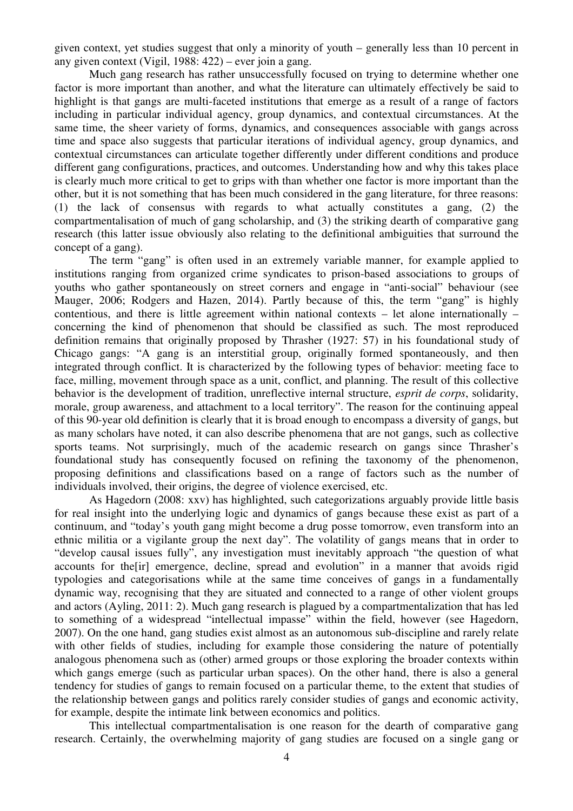given context, yet studies suggest that only a minority of youth – generally less than 10 percent in any given context (Vigil, 1988: 422) – ever join a gang.

 Much gang research has rather unsuccessfully focused on trying to determine whether one factor is more important than another, and what the literature can ultimately effectively be said to highlight is that gangs are multi-faceted institutions that emerge as a result of a range of factors including in particular individual agency, group dynamics, and contextual circumstances. At the same time, the sheer variety of forms, dynamics, and consequences associable with gangs across time and space also suggests that particular iterations of individual agency, group dynamics, and contextual circumstances can articulate together differently under different conditions and produce different gang configurations, practices, and outcomes. Understanding how and why this takes place is clearly much more critical to get to grips with than whether one factor is more important than the other, but it is not something that has been much considered in the gang literature, for three reasons: (1) the lack of consensus with regards to what actually constitutes a gang, (2) the compartmentalisation of much of gang scholarship, and (3) the striking dearth of comparative gang research (this latter issue obviously also relating to the definitional ambiguities that surround the concept of a gang).

The term "gang" is often used in an extremely variable manner, for example applied to institutions ranging from organized crime syndicates to prison-based associations to groups of youths who gather spontaneously on street corners and engage in "anti-social" behaviour (see Mauger, 2006; Rodgers and Hazen, 2014). Partly because of this, the term "gang" is highly contentious, and there is little agreement within national contexts – let alone internationally – concerning the kind of phenomenon that should be classified as such. The most reproduced definition remains that originally proposed by Thrasher (1927: 57) in his foundational study of Chicago gangs: "A gang is an interstitial group, originally formed spontaneously, and then integrated through conflict. It is characterized by the following types of behavior: meeting face to face, milling, movement through space as a unit, conflict, and planning. The result of this collective behavior is the development of tradition, unreflective internal structure, *esprit de corps*, solidarity, morale, group awareness, and attachment to a local territory". The reason for the continuing appeal of this 90-year old definition is clearly that it is broad enough to encompass a diversity of gangs, but as many scholars have noted, it can also describe phenomena that are not gangs, such as collective sports teams. Not surprisingly, much of the academic research on gangs since Thrasher's foundational study has consequently focused on refining the taxonomy of the phenomenon, proposing definitions and classifications based on a range of factors such as the number of individuals involved, their origins, the degree of violence exercised, etc.

As Hagedorn (2008: xxv) has highlighted, such categorizations arguably provide little basis for real insight into the underlying logic and dynamics of gangs because these exist as part of a continuum, and "today's youth gang might become a drug posse tomorrow, even transform into an ethnic militia or a vigilante group the next day". The volatility of gangs means that in order to "develop causal issues fully", any investigation must inevitably approach "the question of what accounts for the[ir] emergence, decline, spread and evolution" in a manner that avoids rigid typologies and categorisations while at the same time conceives of gangs in a fundamentally dynamic way, recognising that they are situated and connected to a range of other violent groups and actors (Ayling, 2011: 2). Much gang research is plagued by a compartmentalization that has led to something of a widespread "intellectual impasse" within the field, however (see Hagedorn, 2007). On the one hand, gang studies exist almost as an autonomous sub-discipline and rarely relate with other fields of studies, including for example those considering the nature of potentially analogous phenomena such as (other) armed groups or those exploring the broader contexts within which gangs emerge (such as particular urban spaces). On the other hand, there is also a general tendency for studies of gangs to remain focused on a particular theme, to the extent that studies of the relationship between gangs and politics rarely consider studies of gangs and economic activity, for example, despite the intimate link between economics and politics.

This intellectual compartmentalisation is one reason for the dearth of comparative gang research. Certainly, the overwhelming majority of gang studies are focused on a single gang or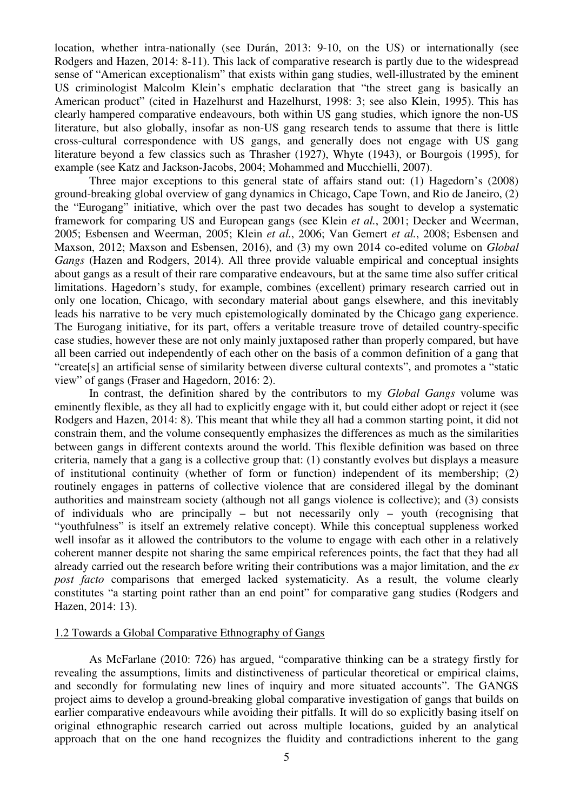location, whether intra-nationally (see Durán, 2013: 9-10, on the US) or internationally (see Rodgers and Hazen, 2014: 8-11). This lack of comparative research is partly due to the widespread sense of "American exceptionalism" that exists within gang studies, well-illustrated by the eminent US criminologist Malcolm Klein's emphatic declaration that "the street gang is basically an American product" (cited in Hazelhurst and Hazelhurst, 1998: 3; see also Klein, 1995). This has clearly hampered comparative endeavours, both within US gang studies, which ignore the non-US literature, but also globally, insofar as non-US gang research tends to assume that there is little cross-cultural correspondence with US gangs, and generally does not engage with US gang literature beyond a few classics such as Thrasher (1927), Whyte (1943), or Bourgois (1995), for example (see Katz and Jackson-Jacobs, 2004; Mohammed and Mucchielli, 2007).

Three major exceptions to this general state of affairs stand out: (1) Hagedorn's (2008) ground-breaking global overview of gang dynamics in Chicago, Cape Town, and Rio de Janeiro, (2) the "Eurogang" initiative, which over the past two decades has sought to develop a systematic framework for comparing US and European gangs (see Klein *et al.*, 2001; Decker and Weerman, 2005; Esbensen and Weerman, 2005; Klein *et al.*, 2006; Van Gemert *et al.*, 2008; Esbensen and Maxson, 2012; Maxson and Esbensen, 2016), and (3) my own 2014 co-edited volume on *Global Gangs* (Hazen and Rodgers, 2014). All three provide valuable empirical and conceptual insights about gangs as a result of their rare comparative endeavours, but at the same time also suffer critical limitations. Hagedorn's study, for example, combines (excellent) primary research carried out in only one location, Chicago, with secondary material about gangs elsewhere, and this inevitably leads his narrative to be very much epistemologically dominated by the Chicago gang experience. The Eurogang initiative, for its part, offers a veritable treasure trove of detailed country-specific case studies, however these are not only mainly juxtaposed rather than properly compared, but have all been carried out independently of each other on the basis of a common definition of a gang that "create[s] an artificial sense of similarity between diverse cultural contexts", and promotes a "static view" of gangs (Fraser and Hagedorn, 2016: 2).

In contrast, the definition shared by the contributors to my *Global Gangs* volume was eminently flexible, as they all had to explicitly engage with it, but could either adopt or reject it (see Rodgers and Hazen, 2014: 8). This meant that while they all had a common starting point, it did not constrain them, and the volume consequently emphasizes the differences as much as the similarities between gangs in different contexts around the world. This flexible definition was based on three criteria, namely that a gang is a collective group that: (1) constantly evolves but displays a measure of institutional continuity (whether of form or function) independent of its membership; (2) routinely engages in patterns of collective violence that are considered illegal by the dominant authorities and mainstream society (although not all gangs violence is collective); and (3) consists of individuals who are principally – but not necessarily only – youth (recognising that "youthfulness" is itself an extremely relative concept). While this conceptual suppleness worked well insofar as it allowed the contributors to the volume to engage with each other in a relatively coherent manner despite not sharing the same empirical references points, the fact that they had all already carried out the research before writing their contributions was a major limitation, and the *ex post facto* comparisons that emerged lacked systematicity. As a result, the volume clearly constitutes "a starting point rather than an end point" for comparative gang studies (Rodgers and Hazen, 2014: 13).

## 1.2 Towards a Global Comparative Ethnography of Gangs

As McFarlane (2010: 726) has argued, "comparative thinking can be a strategy firstly for revealing the assumptions, limits and distinctiveness of particular theoretical or empirical claims, and secondly for formulating new lines of inquiry and more situated accounts". The GANGS project aims to develop a ground-breaking global comparative investigation of gangs that builds on earlier comparative endeavours while avoiding their pitfalls. It will do so explicitly basing itself on original ethnographic research carried out across multiple locations, guided by an analytical approach that on the one hand recognizes the fluidity and contradictions inherent to the gang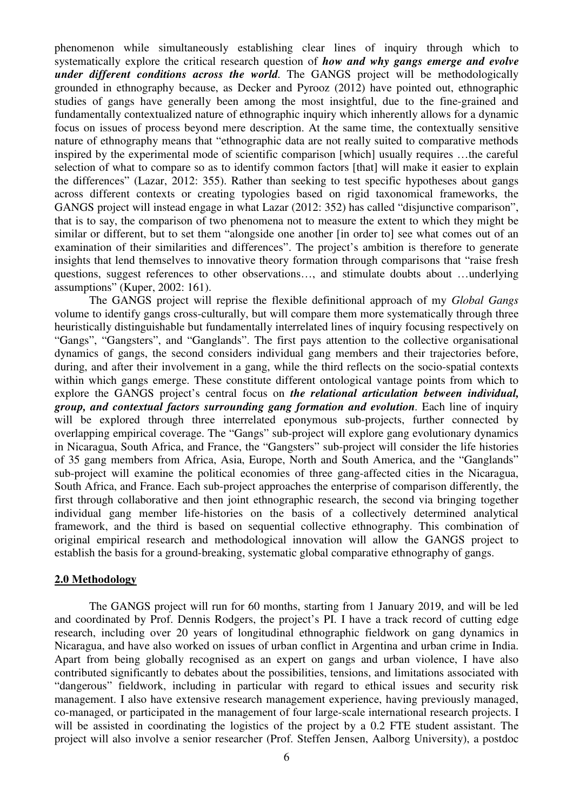phenomenon while simultaneously establishing clear lines of inquiry through which to systematically explore the critical research question of *how and why gangs emerge and evolve under different conditions across the world*. The GANGS project will be methodologically grounded in ethnography because, as Decker and Pyrooz (2012) have pointed out, ethnographic studies of gangs have generally been among the most insightful, due to the fine-grained and fundamentally contextualized nature of ethnographic inquiry which inherently allows for a dynamic focus on issues of process beyond mere description. At the same time, the contextually sensitive nature of ethnography means that "ethnographic data are not really suited to comparative methods inspired by the experimental mode of scientific comparison [which] usually requires …the careful selection of what to compare so as to identify common factors [that] will make it easier to explain the differences" (Lazar, 2012: 355). Rather than seeking to test specific hypotheses about gangs across different contexts or creating typologies based on rigid taxonomical frameworks, the GANGS project will instead engage in what Lazar (2012: 352) has called "disjunctive comparison", that is to say, the comparison of two phenomena not to measure the extent to which they might be similar or different, but to set them "alongside one another [in order to] see what comes out of an examination of their similarities and differences". The project's ambition is therefore to generate insights that lend themselves to innovative theory formation through comparisons that "raise fresh questions, suggest references to other observations…, and stimulate doubts about …underlying assumptions" (Kuper, 2002: 161).

The GANGS project will reprise the flexible definitional approach of my *Global Gangs*  volume to identify gangs cross-culturally, but will compare them more systematically through three heuristically distinguishable but fundamentally interrelated lines of inquiry focusing respectively on "Gangs", "Gangsters", and "Ganglands". The first pays attention to the collective organisational dynamics of gangs, the second considers individual gang members and their trajectories before, during, and after their involvement in a gang, while the third reflects on the socio-spatial contexts within which gangs emerge. These constitute different ontological vantage points from which to explore the GANGS project's central focus on *the relational articulation between individual, group, and contextual factors surrounding gang formation and evolution*. Each line of inquiry will be explored through three interrelated eponymous sub-projects, further connected by overlapping empirical coverage. The "Gangs" sub-project will explore gang evolutionary dynamics in Nicaragua, South Africa, and France, the "Gangsters" sub-project will consider the life histories of 35 gang members from Africa, Asia, Europe, North and South America, and the "Ganglands" sub-project will examine the political economies of three gang-affected cities in the Nicaragua, South Africa, and France. Each sub-project approaches the enterprise of comparison differently, the first through collaborative and then joint ethnographic research, the second via bringing together individual gang member life-histories on the basis of a collectively determined analytical framework, and the third is based on sequential collective ethnography. This combination of original empirical research and methodological innovation will allow the GANGS project to establish the basis for a ground-breaking, systematic global comparative ethnography of gangs.

## **2.0 Methodology**

The GANGS project will run for 60 months, starting from 1 January 2019, and will be led and coordinated by Prof. Dennis Rodgers, the project's PI. I have a track record of cutting edge research, including over 20 years of longitudinal ethnographic fieldwork on gang dynamics in Nicaragua, and have also worked on issues of urban conflict in Argentina and urban crime in India. Apart from being globally recognised as an expert on gangs and urban violence, I have also contributed significantly to debates about the possibilities, tensions, and limitations associated with "dangerous" fieldwork, including in particular with regard to ethical issues and security risk management. I also have extensive research management experience, having previously managed, co-managed, or participated in the management of four large-scale international research projects. I will be assisted in coordinating the logistics of the project by a 0.2 FTE student assistant. The project will also involve a senior researcher (Prof. Steffen Jensen, Aalborg University), a postdoc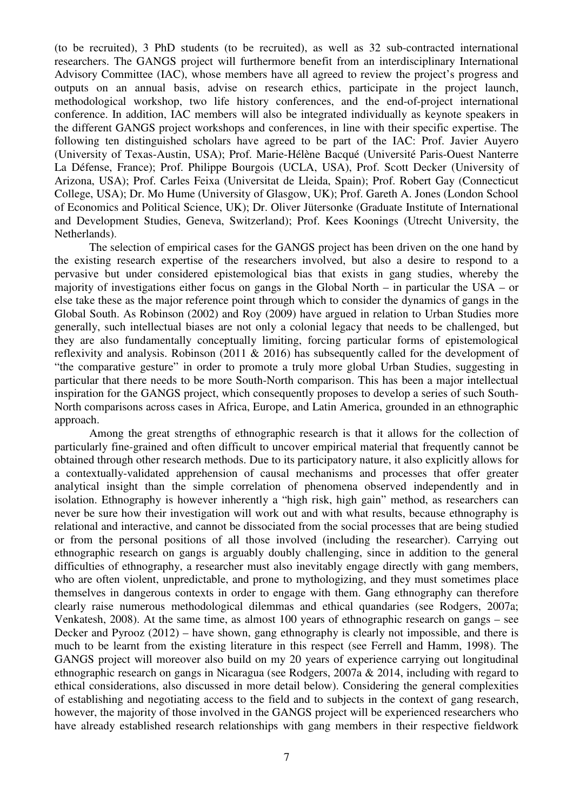(to be recruited), 3 PhD students (to be recruited), as well as 32 sub-contracted international researchers. The GANGS project will furthermore benefit from an interdisciplinary International Advisory Committee (IAC), whose members have all agreed to review the project's progress and outputs on an annual basis, advise on research ethics, participate in the project launch, methodological workshop, two life history conferences, and the end-of-project international conference. In addition, IAC members will also be integrated individually as keynote speakers in the different GANGS project workshops and conferences, in line with their specific expertise. The following ten distinguished scholars have agreed to be part of the IAC: Prof. Javier Auyero (University of Texas-Austin, USA); Prof. Marie-Hélène Bacqué (Université Paris-Ouest Nanterre La Défense, France); Prof. Philippe Bourgois (UCLA, USA), Prof. Scott Decker (University of Arizona, USA); Prof. Carles Feixa (Universitat de Lleida, Spain); Prof. Robert Gay (Connecticut College, USA); Dr. Mo Hume (University of Glasgow, UK); Prof. Gareth A. Jones (London School of Economics and Political Science, UK); Dr. Oliver Jütersonke (Graduate Institute of International and Development Studies, Geneva, Switzerland); Prof. Kees Koonings (Utrecht University, the Netherlands).

The selection of empirical cases for the GANGS project has been driven on the one hand by the existing research expertise of the researchers involved, but also a desire to respond to a pervasive but under considered epistemological bias that exists in gang studies, whereby the majority of investigations either focus on gangs in the Global North – in particular the USA – or else take these as the major reference point through which to consider the dynamics of gangs in the Global South. As Robinson (2002) and Roy (2009) have argued in relation to Urban Studies more generally, such intellectual biases are not only a colonial legacy that needs to be challenged, but they are also fundamentally conceptually limiting, forcing particular forms of epistemological reflexivity and analysis. Robinson (2011  $\&$  2016) has subsequently called for the development of "the comparative gesture" in order to promote a truly more global Urban Studies, suggesting in particular that there needs to be more South-North comparison. This has been a major intellectual inspiration for the GANGS project, which consequently proposes to develop a series of such South-North comparisons across cases in Africa, Europe, and Latin America, grounded in an ethnographic approach.

Among the great strengths of ethnographic research is that it allows for the collection of particularly fine-grained and often difficult to uncover empirical material that frequently cannot be obtained through other research methods. Due to its participatory nature, it also explicitly allows for a contextually-validated apprehension of causal mechanisms and processes that offer greater analytical insight than the simple correlation of phenomena observed independently and in isolation. Ethnography is however inherently a "high risk, high gain" method, as researchers can never be sure how their investigation will work out and with what results, because ethnography is relational and interactive, and cannot be dissociated from the social processes that are being studied or from the personal positions of all those involved (including the researcher). Carrying out ethnographic research on gangs is arguably doubly challenging, since in addition to the general difficulties of ethnography, a researcher must also inevitably engage directly with gang members, who are often violent, unpredictable, and prone to mythologizing, and they must sometimes place themselves in dangerous contexts in order to engage with them. Gang ethnography can therefore clearly raise numerous methodological dilemmas and ethical quandaries (see Rodgers, 2007a; Venkatesh, 2008). At the same time, as almost 100 years of ethnographic research on gangs – see Decker and Pyrooz (2012) – have shown, gang ethnography is clearly not impossible, and there is much to be learnt from the existing literature in this respect (see Ferrell and Hamm, 1998). The GANGS project will moreover also build on my 20 years of experience carrying out longitudinal ethnographic research on gangs in Nicaragua (see Rodgers, 2007a & 2014, including with regard to ethical considerations, also discussed in more detail below). Considering the general complexities of establishing and negotiating access to the field and to subjects in the context of gang research, however, the majority of those involved in the GANGS project will be experienced researchers who have already established research relationships with gang members in their respective fieldwork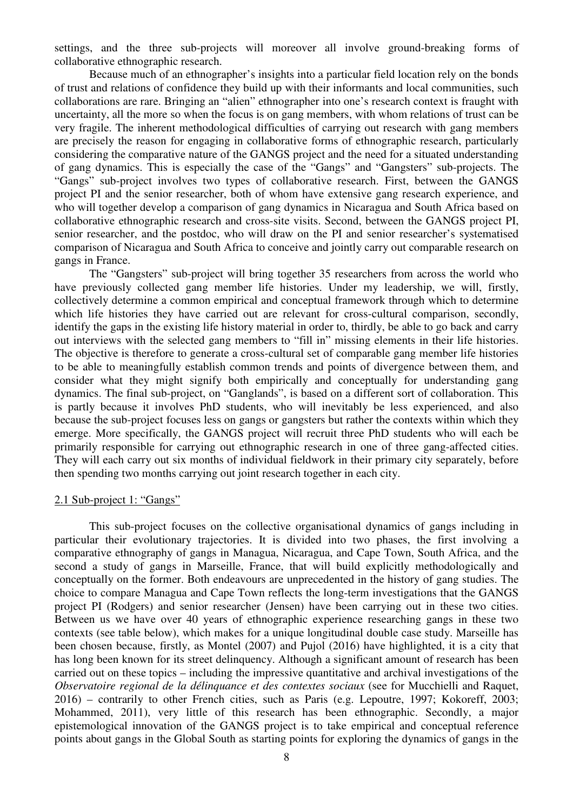settings, and the three sub-projects will moreover all involve ground-breaking forms of collaborative ethnographic research.

Because much of an ethnographer's insights into a particular field location rely on the bonds of trust and relations of confidence they build up with their informants and local communities, such collaborations are rare. Bringing an "alien" ethnographer into one's research context is fraught with uncertainty, all the more so when the focus is on gang members, with whom relations of trust can be very fragile. The inherent methodological difficulties of carrying out research with gang members are precisely the reason for engaging in collaborative forms of ethnographic research, particularly considering the comparative nature of the GANGS project and the need for a situated understanding of gang dynamics. This is especially the case of the "Gangs" and "Gangsters" sub-projects. The "Gangs" sub-project involves two types of collaborative research. First, between the GANGS project PI and the senior researcher, both of whom have extensive gang research experience, and who will together develop a comparison of gang dynamics in Nicaragua and South Africa based on collaborative ethnographic research and cross-site visits. Second, between the GANGS project PI, senior researcher, and the postdoc, who will draw on the PI and senior researcher's systematised comparison of Nicaragua and South Africa to conceive and jointly carry out comparable research on gangs in France.

The "Gangsters" sub-project will bring together 35 researchers from across the world who have previously collected gang member life histories. Under my leadership, we will, firstly, collectively determine a common empirical and conceptual framework through which to determine which life histories they have carried out are relevant for cross-cultural comparison, secondly, identify the gaps in the existing life history material in order to, thirdly, be able to go back and carry out interviews with the selected gang members to "fill in" missing elements in their life histories. The objective is therefore to generate a cross-cultural set of comparable gang member life histories to be able to meaningfully establish common trends and points of divergence between them, and consider what they might signify both empirically and conceptually for understanding gang dynamics. The final sub-project, on "Ganglands", is based on a different sort of collaboration. This is partly because it involves PhD students, who will inevitably be less experienced, and also because the sub-project focuses less on gangs or gangsters but rather the contexts within which they emerge. More specifically, the GANGS project will recruit three PhD students who will each be primarily responsible for carrying out ethnographic research in one of three gang-affected cities. They will each carry out six months of individual fieldwork in their primary city separately, before then spending two months carrying out joint research together in each city.

#### 2.1 Sub-project 1: "Gangs"

This sub-project focuses on the collective organisational dynamics of gangs including in particular their evolutionary trajectories. It is divided into two phases, the first involving a comparative ethnography of gangs in Managua, Nicaragua, and Cape Town, South Africa, and the second a study of gangs in Marseille, France, that will build explicitly methodologically and conceptually on the former. Both endeavours are unprecedented in the history of gang studies. The choice to compare Managua and Cape Town reflects the long-term investigations that the GANGS project PI (Rodgers) and senior researcher (Jensen) have been carrying out in these two cities. Between us we have over 40 years of ethnographic experience researching gangs in these two contexts (see table below), which makes for a unique longitudinal double case study. Marseille has been chosen because, firstly, as Montel (2007) and Pujol (2016) have highlighted, it is a city that has long been known for its street delinquency. Although a significant amount of research has been carried out on these topics – including the impressive quantitative and archival investigations of the *Observatoire regional de la délinquance et des contextes sociaux* (see for Mucchielli and Raquet, 2016) – contrarily to other French cities, such as Paris (e.g. Lepoutre, 1997; Kokoreff, 2003; Mohammed, 2011), very little of this research has been ethnographic. Secondly, a major epistemological innovation of the GANGS project is to take empirical and conceptual reference points about gangs in the Global South as starting points for exploring the dynamics of gangs in the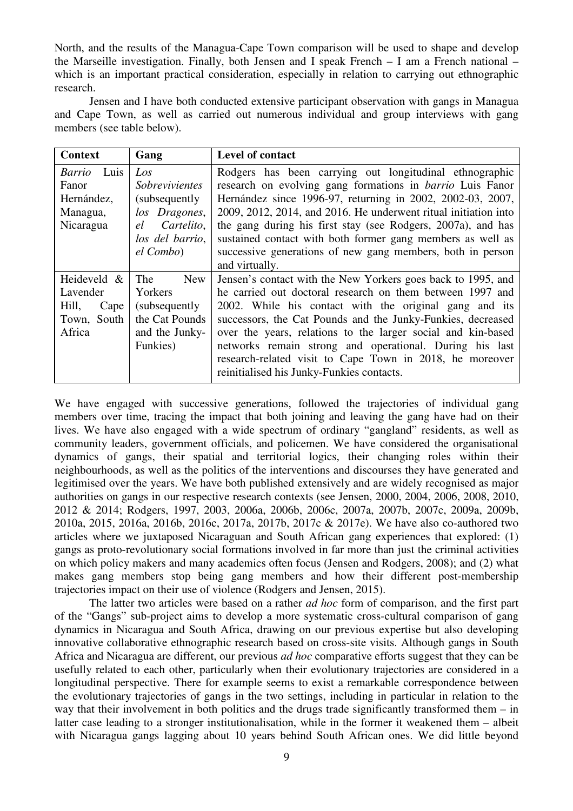North, and the results of the Managua-Cape Town comparison will be used to shape and develop the Marseille investigation. Finally, both Jensen and I speak French – I am a French national – which is an important practical consideration, especially in relation to carrying out ethnographic research.

Jensen and I have both conducted extensive participant observation with gangs in Managua and Cape Town, as well as carried out numerous individual and group interviews with gang members (see table below).

| Context                                                            | Gang                                                                                                         | Level of contact                                                                                                                                                                                                                                                                                                                                                                                                                                                                       |  |  |  |
|--------------------------------------------------------------------|--------------------------------------------------------------------------------------------------------------|----------------------------------------------------------------------------------------------------------------------------------------------------------------------------------------------------------------------------------------------------------------------------------------------------------------------------------------------------------------------------------------------------------------------------------------------------------------------------------------|--|--|--|
| <i>Barrio</i> Luis<br>Fanor<br>Hernández,<br>Managua,<br>Nicaragua | Los<br>Sobrevivientes<br>(subsequently)<br>los Dragones,<br>Cartelito,<br>el<br>los del barrio,<br>el Combo) | Rodgers has been carrying out longitudinal ethnographic<br>research on evolving gang formations in <i>barrio</i> Luis Fanor<br>Hernández since 1996-97, returning in 2002, 2002-03, 2007,<br>2009, 2012, 2014, and 2016. He underwent ritual initiation into<br>the gang during his first stay (see Rodgers, 2007a), and has<br>sustained contact with both former gang members as well as<br>successive generations of new gang members, both in person                               |  |  |  |
|                                                                    |                                                                                                              | and virtually.                                                                                                                                                                                                                                                                                                                                                                                                                                                                         |  |  |  |
| Heideveld &<br>Lavender<br>Hill,<br>Cape<br>Town, South<br>Africa  | The<br><b>New</b><br>Yorkers<br>(subsequently)<br>the Cat Pounds<br>and the Junky-<br>Funkies)               | Jensen's contact with the New Yorkers goes back to 1995, and<br>he carried out doctoral research on them between 1997 and<br>2002. While his contact with the original gang and its<br>successors, the Cat Pounds and the Junky-Funkies, decreased<br>over the years, relations to the larger social and kin-based<br>networks remain strong and operational. During his last<br>research-related visit to Cape Town in 2018, he moreover<br>reinitialised his Junky-Funkies contacts. |  |  |  |

We have engaged with successive generations, followed the trajectories of individual gang members over time, tracing the impact that both joining and leaving the gang have had on their lives. We have also engaged with a wide spectrum of ordinary "gangland" residents, as well as community leaders, government officials, and policemen. We have considered the organisational dynamics of gangs, their spatial and territorial logics, their changing roles within their neighbourhoods, as well as the politics of the interventions and discourses they have generated and legitimised over the years. We have both published extensively and are widely recognised as major authorities on gangs in our respective research contexts (see Jensen, 2000, 2004, 2006, 2008, 2010, 2012 & 2014; Rodgers, 1997, 2003, 2006a, 2006b, 2006c, 2007a, 2007b, 2007c, 2009a, 2009b, 2010a, 2015, 2016a, 2016b, 2016c, 2017a, 2017b, 2017c & 2017e). We have also co-authored two articles where we juxtaposed Nicaraguan and South African gang experiences that explored: (1) gangs as proto-revolutionary social formations involved in far more than just the criminal activities on which policy makers and many academics often focus (Jensen and Rodgers, 2008); and (2) what makes gang members stop being gang members and how their different post-membership trajectories impact on their use of violence (Rodgers and Jensen, 2015).

The latter two articles were based on a rather *ad hoc* form of comparison, and the first part of the "Gangs" sub-project aims to develop a more systematic cross-cultural comparison of gang dynamics in Nicaragua and South Africa, drawing on our previous expertise but also developing innovative collaborative ethnographic research based on cross-site visits. Although gangs in South Africa and Nicaragua are different, our previous *ad hoc* comparative efforts suggest that they can be usefully related to each other, particularly when their evolutionary trajectories are considered in a longitudinal perspective. There for example seems to exist a remarkable correspondence between the evolutionary trajectories of gangs in the two settings, including in particular in relation to the way that their involvement in both politics and the drugs trade significantly transformed them – in latter case leading to a stronger institutionalisation, while in the former it weakened them – albeit with Nicaragua gangs lagging about 10 years behind South African ones. We did little beyond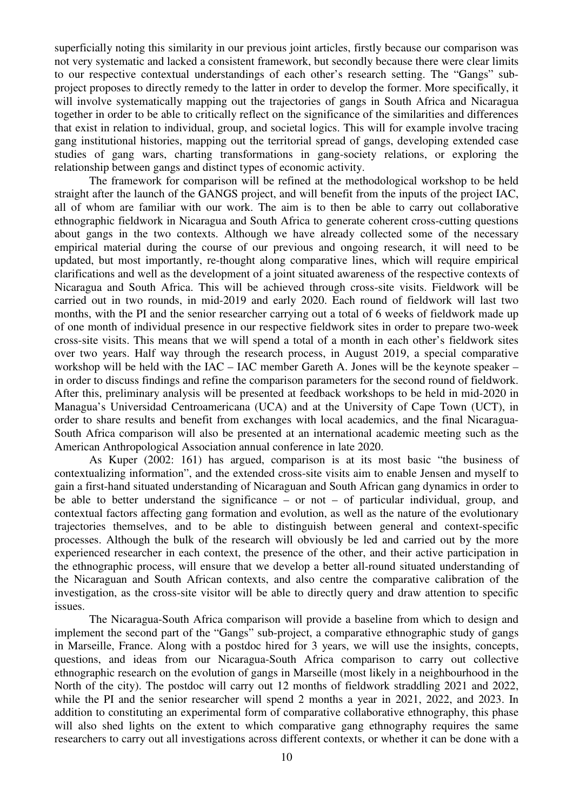superficially noting this similarity in our previous joint articles, firstly because our comparison was not very systematic and lacked a consistent framework, but secondly because there were clear limits to our respective contextual understandings of each other's research setting. The "Gangs" subproject proposes to directly remedy to the latter in order to develop the former. More specifically, it will involve systematically mapping out the trajectories of gangs in South Africa and Nicaragua together in order to be able to critically reflect on the significance of the similarities and differences that exist in relation to individual, group, and societal logics. This will for example involve tracing gang institutional histories, mapping out the territorial spread of gangs, developing extended case studies of gang wars, charting transformations in gang-society relations, or exploring the relationship between gangs and distinct types of economic activity.

 The framework for comparison will be refined at the methodological workshop to be held straight after the launch of the GANGS project, and will benefit from the inputs of the project IAC, all of whom are familiar with our work. The aim is to then be able to carry out collaborative ethnographic fieldwork in Nicaragua and South Africa to generate coherent cross-cutting questions about gangs in the two contexts. Although we have already collected some of the necessary empirical material during the course of our previous and ongoing research, it will need to be updated, but most importantly, re-thought along comparative lines, which will require empirical clarifications and well as the development of a joint situated awareness of the respective contexts of Nicaragua and South Africa. This will be achieved through cross-site visits. Fieldwork will be carried out in two rounds, in mid-2019 and early 2020. Each round of fieldwork will last two months, with the PI and the senior researcher carrying out a total of 6 weeks of fieldwork made up of one month of individual presence in our respective fieldwork sites in order to prepare two-week cross-site visits. This means that we will spend a total of a month in each other's fieldwork sites over two years. Half way through the research process, in August 2019, a special comparative workshop will be held with the IAC – IAC member Gareth A. Jones will be the keynote speaker – in order to discuss findings and refine the comparison parameters for the second round of fieldwork. After this, preliminary analysis will be presented at feedback workshops to be held in mid-2020 in Managua's Universidad Centroamericana (UCA) and at the University of Cape Town (UCT), in order to share results and benefit from exchanges with local academics, and the final Nicaragua-South Africa comparison will also be presented at an international academic meeting such as the American Anthropological Association annual conference in late 2020.

 As Kuper (2002: 161) has argued, comparison is at its most basic "the business of contextualizing information", and the extended cross-site visits aim to enable Jensen and myself to gain a first-hand situated understanding of Nicaraguan and South African gang dynamics in order to be able to better understand the significance – or not – of particular individual, group, and contextual factors affecting gang formation and evolution, as well as the nature of the evolutionary trajectories themselves, and to be able to distinguish between general and context-specific processes. Although the bulk of the research will obviously be led and carried out by the more experienced researcher in each context, the presence of the other, and their active participation in the ethnographic process, will ensure that we develop a better all-round situated understanding of the Nicaraguan and South African contexts, and also centre the comparative calibration of the investigation, as the cross-site visitor will be able to directly query and draw attention to specific issues.

 The Nicaragua-South Africa comparison will provide a baseline from which to design and implement the second part of the "Gangs" sub-project, a comparative ethnographic study of gangs in Marseille, France. Along with a postdoc hired for 3 years, we will use the insights, concepts, questions, and ideas from our Nicaragua-South Africa comparison to carry out collective ethnographic research on the evolution of gangs in Marseille (most likely in a neighbourhood in the North of the city). The postdoc will carry out 12 months of fieldwork straddling 2021 and 2022, while the PI and the senior researcher will spend 2 months a year in 2021, 2022, and 2023. In addition to constituting an experimental form of comparative collaborative ethnography, this phase will also shed lights on the extent to which comparative gang ethnography requires the same researchers to carry out all investigations across different contexts, or whether it can be done with a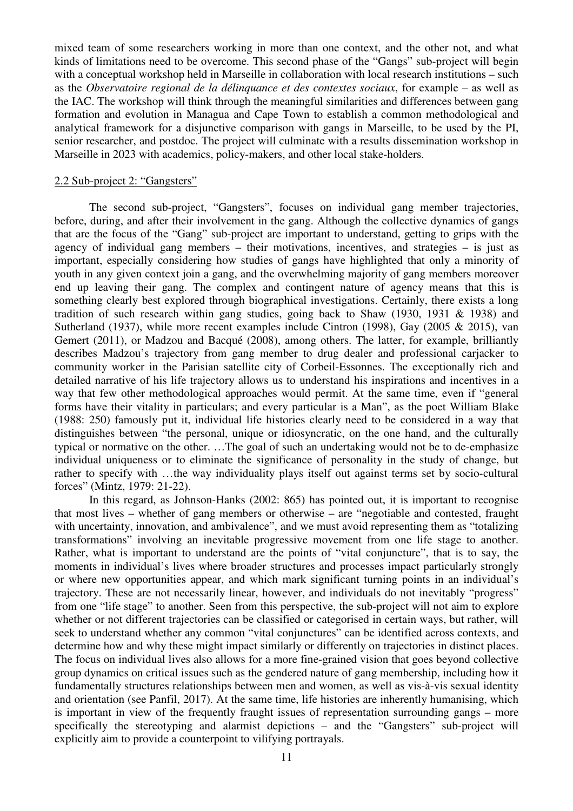mixed team of some researchers working in more than one context, and the other not, and what kinds of limitations need to be overcome. This second phase of the "Gangs" sub-project will begin with a conceptual workshop held in Marseille in collaboration with local research institutions – such as the *Observatoire regional de la délinquance et des contextes sociaux*, for example – as well as the IAC. The workshop will think through the meaningful similarities and differences between gang formation and evolution in Managua and Cape Town to establish a common methodological and analytical framework for a disjunctive comparison with gangs in Marseille, to be used by the PI, senior researcher, and postdoc. The project will culminate with a results dissemination workshop in Marseille in 2023 with academics, policy-makers, and other local stake-holders.

## 2.2 Sub-project 2: "Gangsters"

The second sub-project, "Gangsters", focuses on individual gang member trajectories, before, during, and after their involvement in the gang. Although the collective dynamics of gangs that are the focus of the "Gang" sub-project are important to understand, getting to grips with the agency of individual gang members – their motivations, incentives, and strategies – is just as important, especially considering how studies of gangs have highlighted that only a minority of youth in any given context join a gang, and the overwhelming majority of gang members moreover end up leaving their gang. The complex and contingent nature of agency means that this is something clearly best explored through biographical investigations. Certainly, there exists a long tradition of such research within gang studies, going back to Shaw (1930, 1931 & 1938) and Sutherland (1937), while more recent examples include Cintron (1998), Gay (2005 & 2015), van Gemert (2011), or Madzou and Bacqué (2008), among others. The latter, for example, brilliantly describes Madzou's trajectory from gang member to drug dealer and professional carjacker to community worker in the Parisian satellite city of Corbeil-Essonnes. The exceptionally rich and detailed narrative of his life trajectory allows us to understand his inspirations and incentives in a way that few other methodological approaches would permit. At the same time, even if "general forms have their vitality in particulars; and every particular is a Man", as the poet William Blake (1988: 250) famously put it, individual life histories clearly need to be considered in a way that distinguishes between "the personal, unique or idiosyncratic, on the one hand, and the culturally typical or normative on the other. …The goal of such an undertaking would not be to de-emphasize individual uniqueness or to eliminate the significance of personality in the study of change, but rather to specify with …the way individuality plays itself out against terms set by socio-cultural forces" (Mintz, 1979: 21-22).

 In this regard, as Johnson-Hanks (2002: 865) has pointed out, it is important to recognise that most lives – whether of gang members or otherwise – are "negotiable and contested, fraught with uncertainty, innovation, and ambivalence", and we must avoid representing them as "totalizing transformations" involving an inevitable progressive movement from one life stage to another. Rather, what is important to understand are the points of "vital conjuncture", that is to say, the moments in individual's lives where broader structures and processes impact particularly strongly or where new opportunities appear, and which mark significant turning points in an individual's trajectory. These are not necessarily linear, however, and individuals do not inevitably "progress" from one "life stage" to another. Seen from this perspective, the sub-project will not aim to explore whether or not different trajectories can be classified or categorised in certain ways, but rather, will seek to understand whether any common "vital conjunctures" can be identified across contexts, and determine how and why these might impact similarly or differently on trajectories in distinct places. The focus on individual lives also allows for a more fine-grained vision that goes beyond collective group dynamics on critical issues such as the gendered nature of gang membership, including how it fundamentally structures relationships between men and women, as well as vis-à-vis sexual identity and orientation (see Panfil, 2017). At the same time, life histories are inherently humanising, which is important in view of the frequently fraught issues of representation surrounding gangs – more specifically the stereotyping and alarmist depictions – and the "Gangsters" sub-project will explicitly aim to provide a counterpoint to vilifying portrayals.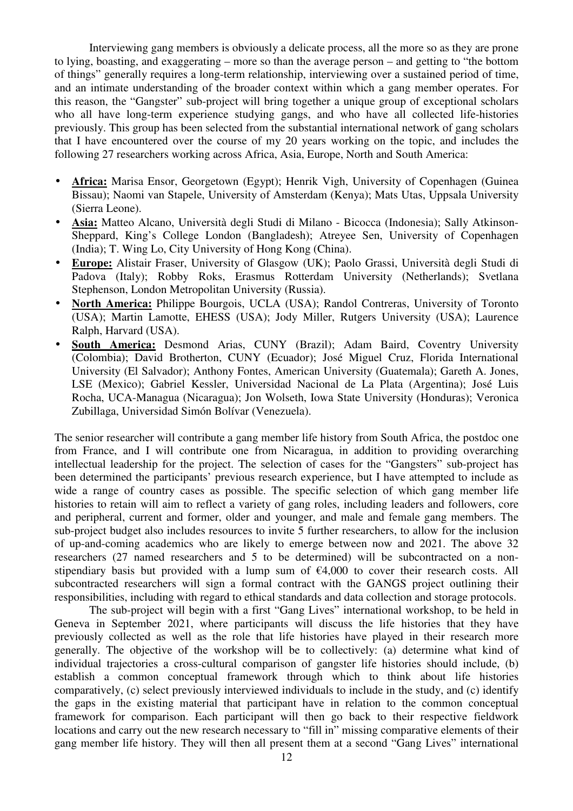Interviewing gang members is obviously a delicate process, all the more so as they are prone to lying, boasting, and exaggerating – more so than the average person – and getting to "the bottom of things" generally requires a long-term relationship, interviewing over a sustained period of time, and an intimate understanding of the broader context within which a gang member operates. For this reason, the "Gangster" sub-project will bring together a unique group of exceptional scholars who all have long-term experience studying gangs, and who have all collected life-histories previously. This group has been selected from the substantial international network of gang scholars that I have encountered over the course of my 20 years working on the topic, and includes the following 27 researchers working across Africa, Asia, Europe, North and South America:

- **Africa:** Marisa Ensor, Georgetown (Egypt); Henrik Vigh, University of Copenhagen (Guinea Bissau); Naomi van Stapele, University of Amsterdam (Kenya); Mats Utas, Uppsala University (Sierra Leone).
- **Asia:** Matteo Alcano, Università degli Studi di Milano Bicocca (Indonesia); Sally Atkinson-Sheppard, King's College London (Bangladesh); Atreyee Sen, University of Copenhagen (India); T. Wing Lo, City University of Hong Kong (China).
- **Europe:** Alistair Fraser, University of Glasgow (UK); Paolo Grassi, Università degli Studi di Padova (Italy); Robby Roks, Erasmus Rotterdam University (Netherlands); Svetlana Stephenson, London Metropolitan University (Russia).
- **North America:** Philippe Bourgois, UCLA (USA); Randol Contreras, University of Toronto (USA); Martin Lamotte, EHESS (USA); Jody Miller, Rutgers University (USA); Laurence Ralph, Harvard (USA).
- **South America:** Desmond Arias, CUNY (Brazil); Adam Baird, Coventry University (Colombia); David Brotherton, CUNY (Ecuador); José Miguel Cruz, Florida International University (El Salvador); Anthony Fontes, American University (Guatemala); Gareth A. Jones, LSE (Mexico); Gabriel Kessler, Universidad Nacional de La Plata (Argentina); José Luis Rocha, UCA-Managua (Nicaragua); Jon Wolseth, Iowa State University (Honduras); Veronica Zubillaga, Universidad Simón Bolívar (Venezuela).

The senior researcher will contribute a gang member life history from South Africa, the postdoc one from France, and I will contribute one from Nicaragua, in addition to providing overarching intellectual leadership for the project. The selection of cases for the "Gangsters" sub-project has been determined the participants' previous research experience, but I have attempted to include as wide a range of country cases as possible. The specific selection of which gang member life histories to retain will aim to reflect a variety of gang roles, including leaders and followers, core and peripheral, current and former, older and younger, and male and female gang members. The sub-project budget also includes resources to invite 5 further researchers, to allow for the inclusion of up-and-coming academics who are likely to emerge between now and 2021. The above 32 researchers (27 named researchers and 5 to be determined) will be subcontracted on a nonstipendiary basis but provided with a lump sum of  $\epsilon$ 4,000 to cover their research costs. All subcontracted researchers will sign a formal contract with the GANGS project outlining their responsibilities, including with regard to ethical standards and data collection and storage protocols.

 The sub-project will begin with a first "Gang Lives" international workshop, to be held in Geneva in September 2021, where participants will discuss the life histories that they have previously collected as well as the role that life histories have played in their research more generally. The objective of the workshop will be to collectively: (a) determine what kind of individual trajectories a cross-cultural comparison of gangster life histories should include, (b) establish a common conceptual framework through which to think about life histories comparatively, (c) select previously interviewed individuals to include in the study, and (c) identify the gaps in the existing material that participant have in relation to the common conceptual framework for comparison. Each participant will then go back to their respective fieldwork locations and carry out the new research necessary to "fill in" missing comparative elements of their gang member life history. They will then all present them at a second "Gang Lives" international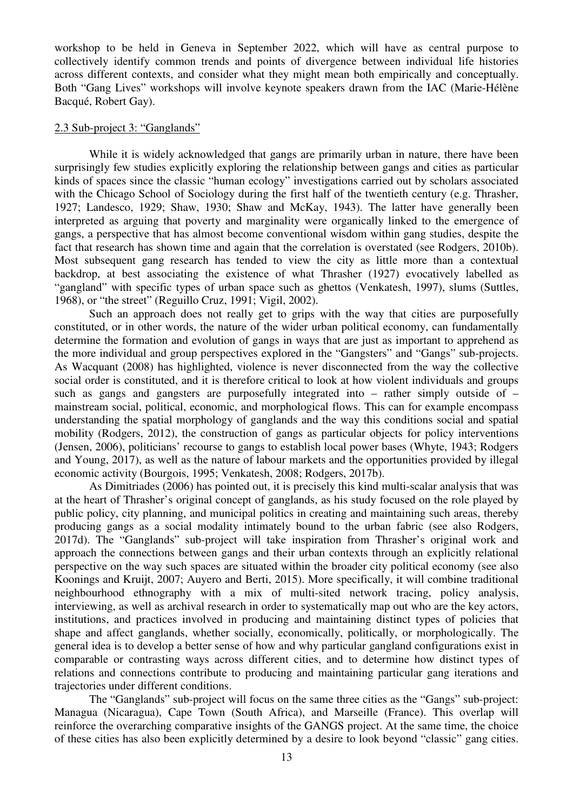workshop to be held in Geneva in September 2022, which will have as central purpose to collectively identify common trends and points of divergence between individual life histories across different contexts, and consider what they might mean both empirically and conceptually. Both "Gang Lives" workshops will involve keynote speakers drawn from the IAC (Marie-Hélène Bacqué, Robert Gay).

#### 2.3 Sub-project 3: "Ganglands"

While it is widely acknowledged that gangs are primarily urban in nature, there have been surprisingly few studies explicitly exploring the relationship between gangs and cities as particular kinds of spaces since the classic "human ecology" investigations carried out by scholars associated with the Chicago School of Sociology during the first half of the twentieth century (e.g. Thrasher, 1927; Landesco, 1929; Shaw, 1930; Shaw and McKay, 1943). The latter have generally been interpreted as arguing that poverty and marginality were organically linked to the emergence of gangs, a perspective that has almost become conventional wisdom within gang studies, despite the fact that research has shown time and again that the correlation is overstated (see Rodgers, 2010b). Most subsequent gang research has tended to view the city as little more than a contextual backdrop, at best associating the existence of what Thrasher (1927) evocatively labelled as "gangland" with specific types of urban space such as ghettos (Venkatesh, 1997), slums (Suttles, 1968), or "the street" (Reguillo Cruz, 1991; Vigil, 2002).

Such an approach does not really get to grips with the way that cities are purposefully constituted, or in other words, the nature of the wider urban political economy, can fundamentally determine the formation and evolution of gangs in ways that are just as important to apprehend as the more individual and group perspectives explored in the "Gangsters" and "Gangs" sub-projects. As Wacquant (2008) has highlighted, violence is never disconnected from the way the collective social order is constituted, and it is therefore critical to look at how violent individuals and groups such as gangs and gangsters are purposefully integrated into – rather simply outside of – mainstream social, political, economic, and morphological flows. This can for example encompass understanding the spatial morphology of ganglands and the way this conditions social and spatial mobility (Rodgers, 2012), the construction of gangs as particular objects for policy interventions (Jensen, 2006), politicians' recourse to gangs to establish local power bases (Whyte, 1943; Rodgers and Young, 2017), as well as the nature of labour markets and the opportunities provided by illegal economic activity (Bourgois, 1995; Venkatesh, 2008; Rodgers, 2017b).

As Dimitriades (2006) has pointed out, it is precisely this kind multi-scalar analysis that was at the heart of Thrasher's original concept of ganglands, as his study focused on the role played by public policy, city planning, and municipal politics in creating and maintaining such areas, thereby producing gangs as a social modality intimately bound to the urban fabric (see also Rodgers, 2017d). The "Ganglands" sub-project will take inspiration from Thrasher's original work and approach the connections between gangs and their urban contexts through an explicitly relational perspective on the way such spaces are situated within the broader city political economy (see also Koonings and Kruijt, 2007; Auyero and Berti, 2015). More specifically, it will combine traditional neighbourhood ethnography with a mix of multi-sited network tracing, policy analysis, interviewing, as well as archival research in order to systematically map out who are the key actors, institutions, and practices involved in producing and maintaining distinct types of policies that shape and affect ganglands, whether socially, economically, politically, or morphologically. The general idea is to develop a better sense of how and why particular gangland configurations exist in comparable or contrasting ways across different cities, and to determine how distinct types of relations and connections contribute to producing and maintaining particular gang iterations and trajectories under different conditions.

 The "Ganglands" sub-project will focus on the same three cities as the "Gangs" sub-project: Managua (Nicaragua), Cape Town (South Africa), and Marseille (France). This overlap will reinforce the overarching comparative insights of the GANGS project. At the same time, the choice of these cities has also been explicitly determined by a desire to look beyond "classic" gang cities.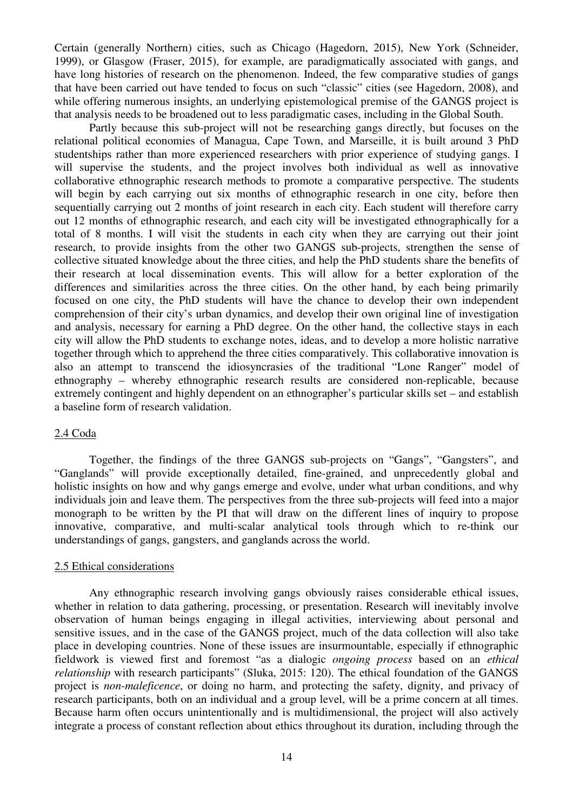Certain (generally Northern) cities, such as Chicago (Hagedorn, 2015), New York (Schneider, 1999), or Glasgow (Fraser, 2015), for example, are paradigmatically associated with gangs, and have long histories of research on the phenomenon. Indeed, the few comparative studies of gangs that have been carried out have tended to focus on such "classic" cities (see Hagedorn, 2008), and while offering numerous insights, an underlying epistemological premise of the GANGS project is that analysis needs to be broadened out to less paradigmatic cases, including in the Global South.

 Partly because this sub-project will not be researching gangs directly, but focuses on the relational political economies of Managua, Cape Town, and Marseille, it is built around 3 PhD studentships rather than more experienced researchers with prior experience of studying gangs. I will supervise the students, and the project involves both individual as well as innovative collaborative ethnographic research methods to promote a comparative perspective. The students will begin by each carrying out six months of ethnographic research in one city, before then sequentially carrying out 2 months of joint research in each city. Each student will therefore carry out 12 months of ethnographic research, and each city will be investigated ethnographically for a total of 8 months. I will visit the students in each city when they are carrying out their joint research, to provide insights from the other two GANGS sub-projects, strengthen the sense of collective situated knowledge about the three cities, and help the PhD students share the benefits of their research at local dissemination events. This will allow for a better exploration of the differences and similarities across the three cities. On the other hand, by each being primarily focused on one city, the PhD students will have the chance to develop their own independent comprehension of their city's urban dynamics, and develop their own original line of investigation and analysis, necessary for earning a PhD degree. On the other hand, the collective stays in each city will allow the PhD students to exchange notes, ideas, and to develop a more holistic narrative together through which to apprehend the three cities comparatively. This collaborative innovation is also an attempt to transcend the idiosyncrasies of the traditional "Lone Ranger" model of ethnography – whereby ethnographic research results are considered non-replicable, because extremely contingent and highly dependent on an ethnographer's particular skills set – and establish a baseline form of research validation.

## 2.4 Coda

Together, the findings of the three GANGS sub-projects on "Gangs", "Gangsters", and "Ganglands" will provide exceptionally detailed, fine-grained, and unprecedently global and holistic insights on how and why gangs emerge and evolve, under what urban conditions, and why individuals join and leave them. The perspectives from the three sub-projects will feed into a major monograph to be written by the PI that will draw on the different lines of inquiry to propose innovative, comparative, and multi-scalar analytical tools through which to re-think our understandings of gangs, gangsters, and ganglands across the world.

## 2.5 Ethical considerations

Any ethnographic research involving gangs obviously raises considerable ethical issues, whether in relation to data gathering, processing, or presentation. Research will inevitably involve observation of human beings engaging in illegal activities, interviewing about personal and sensitive issues, and in the case of the GANGS project, much of the data collection will also take place in developing countries. None of these issues are insurmountable, especially if ethnographic fieldwork is viewed first and foremost "as a dialogic *ongoing process* based on an *ethical relationship* with research participants" (Sluka, 2015: 120). The ethical foundation of the GANGS project is *non-maleficence*, or doing no harm, and protecting the safety, dignity, and privacy of research participants, both on an individual and a group level, will be a prime concern at all times. Because harm often occurs unintentionally and is multidimensional, the project will also actively integrate a process of constant reflection about ethics throughout its duration, including through the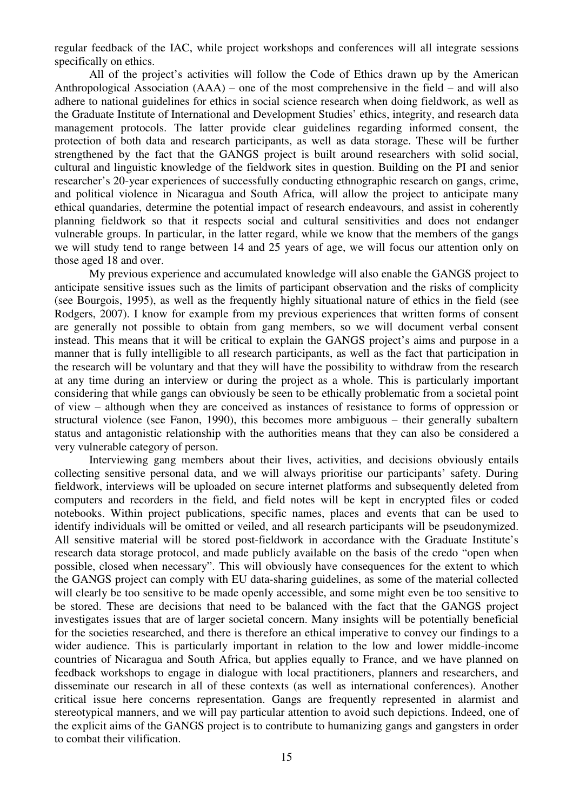regular feedback of the IAC, while project workshops and conferences will all integrate sessions specifically on ethics.

All of the project's activities will follow the Code of Ethics drawn up by the American Anthropological Association (AAA) – one of the most comprehensive in the field – and will also adhere to national guidelines for ethics in social science research when doing fieldwork, as well as the Graduate Institute of International and Development Studies' ethics, integrity, and research data management protocols. The latter provide clear guidelines regarding informed consent, the protection of both data and research participants, as well as data storage. These will be further strengthened by the fact that the GANGS project is built around researchers with solid social, cultural and linguistic knowledge of the fieldwork sites in question. Building on the PI and senior researcher's 20-year experiences of successfully conducting ethnographic research on gangs, crime, and political violence in Nicaragua and South Africa, will allow the project to anticipate many ethical quandaries, determine the potential impact of research endeavours, and assist in coherently planning fieldwork so that it respects social and cultural sensitivities and does not endanger vulnerable groups. In particular, in the latter regard, while we know that the members of the gangs we will study tend to range between 14 and 25 years of age, we will focus our attention only on those aged 18 and over.

My previous experience and accumulated knowledge will also enable the GANGS project to anticipate sensitive issues such as the limits of participant observation and the risks of complicity (see Bourgois, 1995), as well as the frequently highly situational nature of ethics in the field (see Rodgers, 2007). I know for example from my previous experiences that written forms of consent are generally not possible to obtain from gang members, so we will document verbal consent instead. This means that it will be critical to explain the GANGS project's aims and purpose in a manner that is fully intelligible to all research participants, as well as the fact that participation in the research will be voluntary and that they will have the possibility to withdraw from the research at any time during an interview or during the project as a whole. This is particularly important considering that while gangs can obviously be seen to be ethically problematic from a societal point of view – although when they are conceived as instances of resistance to forms of oppression or structural violence (see Fanon, 1990), this becomes more ambiguous – their generally subaltern status and antagonistic relationship with the authorities means that they can also be considered a very vulnerable category of person.

 Interviewing gang members about their lives, activities, and decisions obviously entails collecting sensitive personal data, and we will always prioritise our participants' safety. During fieldwork, interviews will be uploaded on secure internet platforms and subsequently deleted from computers and recorders in the field, and field notes will be kept in encrypted files or coded notebooks. Within project publications, specific names, places and events that can be used to identify individuals will be omitted or veiled, and all research participants will be pseudonymized. All sensitive material will be stored post-fieldwork in accordance with the Graduate Institute's research data storage protocol, and made publicly available on the basis of the credo "open when possible, closed when necessary". This will obviously have consequences for the extent to which the GANGS project can comply with EU data-sharing guidelines, as some of the material collected will clearly be too sensitive to be made openly accessible, and some might even be too sensitive to be stored. These are decisions that need to be balanced with the fact that the GANGS project investigates issues that are of larger societal concern. Many insights will be potentially beneficial for the societies researched, and there is therefore an ethical imperative to convey our findings to a wider audience. This is particularly important in relation to the low and lower middle-income countries of Nicaragua and South Africa, but applies equally to France, and we have planned on feedback workshops to engage in dialogue with local practitioners, planners and researchers, and disseminate our research in all of these contexts (as well as international conferences). Another critical issue here concerns representation. Gangs are frequently represented in alarmist and stereotypical manners, and we will pay particular attention to avoid such depictions. Indeed, one of the explicit aims of the GANGS project is to contribute to humanizing gangs and gangsters in order to combat their vilification.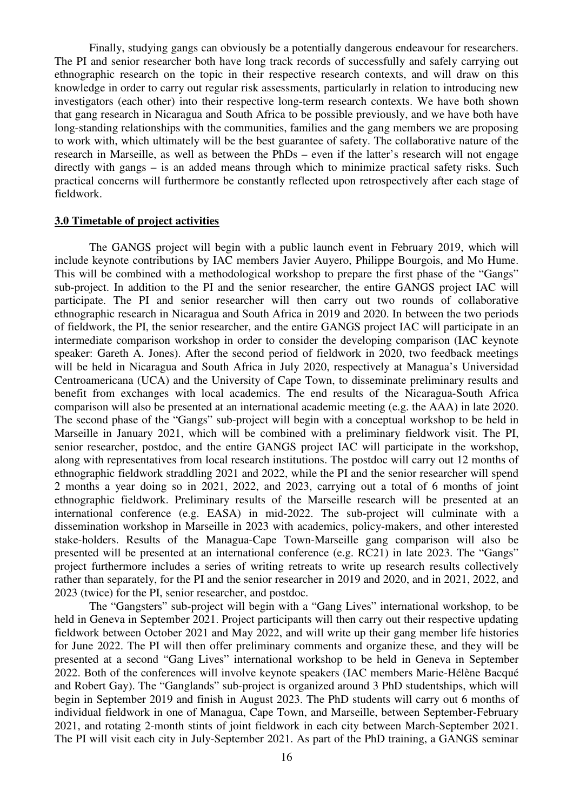Finally, studying gangs can obviously be a potentially dangerous endeavour for researchers. The PI and senior researcher both have long track records of successfully and safely carrying out ethnographic research on the topic in their respective research contexts, and will draw on this knowledge in order to carry out regular risk assessments, particularly in relation to introducing new investigators (each other) into their respective long-term research contexts. We have both shown that gang research in Nicaragua and South Africa to be possible previously, and we have both have long-standing relationships with the communities, families and the gang members we are proposing to work with, which ultimately will be the best guarantee of safety. The collaborative nature of the research in Marseille, as well as between the PhDs – even if the latter's research will not engage directly with gangs – is an added means through which to minimize practical safety risks. Such practical concerns will furthermore be constantly reflected upon retrospectively after each stage of fieldwork.

## **3.0 Timetable of project activities**

The GANGS project will begin with a public launch event in February 2019, which will include keynote contributions by IAC members Javier Auyero, Philippe Bourgois, and Mo Hume. This will be combined with a methodological workshop to prepare the first phase of the "Gangs" sub-project. In addition to the PI and the senior researcher, the entire GANGS project IAC will participate. The PI and senior researcher will then carry out two rounds of collaborative ethnographic research in Nicaragua and South Africa in 2019 and 2020. In between the two periods of fieldwork, the PI, the senior researcher, and the entire GANGS project IAC will participate in an intermediate comparison workshop in order to consider the developing comparison (IAC keynote speaker: Gareth A. Jones). After the second period of fieldwork in 2020, two feedback meetings will be held in Nicaragua and South Africa in July 2020, respectively at Managua's Universidad Centroamericana (UCA) and the University of Cape Town, to disseminate preliminary results and benefit from exchanges with local academics. The end results of the Nicaragua-South Africa comparison will also be presented at an international academic meeting (e.g. the AAA) in late 2020. The second phase of the "Gangs" sub-project will begin with a conceptual workshop to be held in Marseille in January 2021, which will be combined with a preliminary fieldwork visit. The PI, senior researcher, postdoc, and the entire GANGS project IAC will participate in the workshop, along with representatives from local research institutions. The postdoc will carry out 12 months of ethnographic fieldwork straddling 2021 and 2022, while the PI and the senior researcher will spend 2 months a year doing so in 2021, 2022, and 2023, carrying out a total of 6 months of joint ethnographic fieldwork. Preliminary results of the Marseille research will be presented at an international conference (e.g. EASA) in mid-2022. The sub-project will culminate with a dissemination workshop in Marseille in 2023 with academics, policy-makers, and other interested stake-holders. Results of the Managua-Cape Town-Marseille gang comparison will also be presented will be presented at an international conference (e.g. RC21) in late 2023. The "Gangs" project furthermore includes a series of writing retreats to write up research results collectively rather than separately, for the PI and the senior researcher in 2019 and 2020, and in 2021, 2022, and 2023 (twice) for the PI, senior researcher, and postdoc.

The "Gangsters" sub-project will begin with a "Gang Lives" international workshop, to be held in Geneva in September 2021. Project participants will then carry out their respective updating fieldwork between October 2021 and May 2022, and will write up their gang member life histories for June 2022. The PI will then offer preliminary comments and organize these, and they will be presented at a second "Gang Lives" international workshop to be held in Geneva in September 2022. Both of the conferences will involve keynote speakers (IAC members Marie-Hélène Bacqué and Robert Gay). The "Ganglands" sub-project is organized around 3 PhD studentships, which will begin in September 2019 and finish in August 2023. The PhD students will carry out 6 months of individual fieldwork in one of Managua, Cape Town, and Marseille, between September-February 2021, and rotating 2-month stints of joint fieldwork in each city between March-September 2021. The PI will visit each city in July-September 2021. As part of the PhD training, a GANGS seminar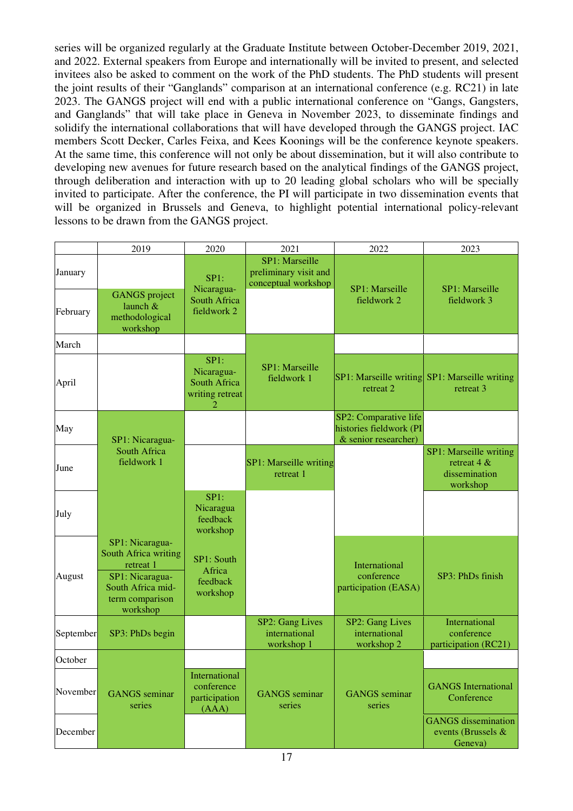series will be organized regularly at the Graduate Institute between October-December 2019, 2021, and 2022. External speakers from Europe and internationally will be invited to present, and selected invitees also be asked to comment on the work of the PhD students. The PhD students will present the joint results of their "Ganglands" comparison at an international conference (e.g. RC21) in late 2023. The GANGS project will end with a public international conference on "Gangs, Gangsters, and Ganglands" that will take place in Geneva in November 2023, to disseminate findings and solidify the international collaborations that will have developed through the GANGS project. IAC members Scott Decker, Carles Feixa, and Kees Koonings will be the conference keynote speakers. At the same time, this conference will not only be about dissemination, but it will also contribute to developing new avenues for future research based on the analytical findings of the GANGS project, through deliberation and interaction with up to 20 leading global scholars who will be specially invited to participate. After the conference, the PI will participate in two dissemination events that will be organized in Brussels and Geneva, to highlight potential international policy-relevant lessons to be drawn from the GANGS project.

|           | 2019                                                                                                                        | 2020                                                         | 2021                                                           | 2022                                                                     | 2023                                                                  |
|-----------|-----------------------------------------------------------------------------------------------------------------------------|--------------------------------------------------------------|----------------------------------------------------------------|--------------------------------------------------------------------------|-----------------------------------------------------------------------|
| January   | <b>GANGS</b> project<br>launch &                                                                                            | SP1:<br>Nicaragua-<br><b>South Africa</b>                    | SP1: Marseille<br>preliminary visit and<br>conceptual workshop | SP1: Marseille<br>fieldwork 2                                            | SP1: Marseille<br>fieldwork 3                                         |
| February  | methodological<br>workshop                                                                                                  | fieldwork 2                                                  |                                                                |                                                                          |                                                                       |
| March     |                                                                                                                             |                                                              |                                                                |                                                                          |                                                                       |
| April     |                                                                                                                             | SP1:<br>Nicaragua-<br><b>South Africa</b><br>writing retreat | SP1: Marseille<br>fieldwork 1                                  | retreat 2                                                                | SP1: Marseille writing SP1: Marseille writing<br>retreat 3            |
| May       | SP1: Nicaragua-                                                                                                             |                                                              |                                                                | SP2: Comparative life<br>histories fieldwork (PI<br>& senior researcher) |                                                                       |
| June      | South Africa<br>fieldwork 1                                                                                                 |                                                              | SP1: Marseille writing<br>retreat 1                            |                                                                          | SP1: Marseille writing<br>retreat 4 $\&$<br>dissemination<br>workshop |
| July      |                                                                                                                             | SP1:<br>Nicaragua<br>feedback<br>workshop                    |                                                                |                                                                          |                                                                       |
| August    | SP1: Nicaragua-<br>South Africa writing<br>retreat 1<br>SP1: Nicaragua-<br>South Africa mid-<br>term comparison<br>workshop | SP1: South<br>Africa<br>feedback<br>workshop                 |                                                                | International<br>conference<br>participation (EASA)                      | SP3: PhDs finish                                                      |
| September | SP3: PhDs begin                                                                                                             |                                                              | SP2: Gang Lives<br>international<br>workshop 1                 | SP2: Gang Lives<br>international<br>workshop 2                           | International<br>conference<br>participation (RC21)                   |
| October   |                                                                                                                             |                                                              |                                                                |                                                                          |                                                                       |
| November  | <b>GANGS</b> seminar<br>series                                                                                              | International<br>conference<br>participation<br>(AAA)        | <b>GANGS</b> seminar<br>series                                 | <b>GANGS</b> seminar<br>series                                           | <b>GANGS</b> International<br>Conference                              |
| December  |                                                                                                                             |                                                              |                                                                |                                                                          | <b>GANGS</b> dissemination<br>events (Brussels &<br>Geneva)           |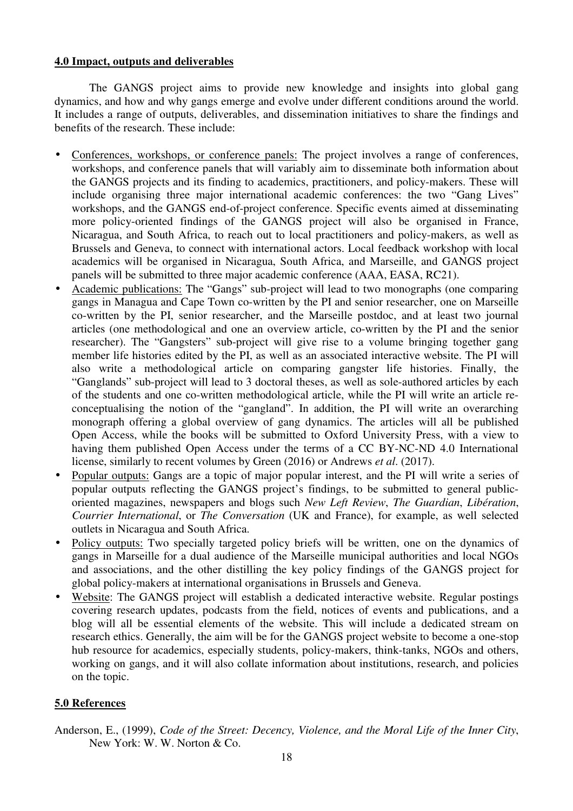## **4.0 Impact, outputs and deliverables**

The GANGS project aims to provide new knowledge and insights into global gang dynamics, and how and why gangs emerge and evolve under different conditions around the world. It includes a range of outputs, deliverables, and dissemination initiatives to share the findings and benefits of the research. These include:

- Conferences, workshops, or conference panels: The project involves a range of conferences, workshops, and conference panels that will variably aim to disseminate both information about the GANGS projects and its finding to academics, practitioners, and policy-makers. These will include organising three major international academic conferences: the two "Gang Lives" workshops, and the GANGS end-of-project conference. Specific events aimed at disseminating more policy-oriented findings of the GANGS project will also be organised in France, Nicaragua, and South Africa, to reach out to local practitioners and policy-makers, as well as Brussels and Geneva, to connect with international actors. Local feedback workshop with local academics will be organised in Nicaragua, South Africa, and Marseille, and GANGS project panels will be submitted to three major academic conference (AAA, EASA, RC21).
- Academic publications: The "Gangs" sub-project will lead to two monographs (one comparing gangs in Managua and Cape Town co-written by the PI and senior researcher, one on Marseille co-written by the PI, senior researcher, and the Marseille postdoc, and at least two journal articles (one methodological and one an overview article, co-written by the PI and the senior researcher). The "Gangsters" sub-project will give rise to a volume bringing together gang member life histories edited by the PI, as well as an associated interactive website. The PI will also write a methodological article on comparing gangster life histories. Finally, the "Ganglands" sub-project will lead to 3 doctoral theses, as well as sole-authored articles by each of the students and one co-written methodological article, while the PI will write an article reconceptualising the notion of the "gangland". In addition, the PI will write an overarching monograph offering a global overview of gang dynamics. The articles will all be published Open Access, while the books will be submitted to Oxford University Press, with a view to having them published Open Access under the terms of a CC BY-NC-ND 4.0 International license, similarly to recent volumes by Green (2016) or Andrews *et al*. (2017).
- Popular outputs: Gangs are a topic of major popular interest, and the PI will write a series of popular outputs reflecting the GANGS project's findings, to be submitted to general publicoriented magazines, newspapers and blogs such *New Left Review*, *The Guardian*, *Libération*, *Courrier International*, or *The Conversation* (UK and France), for example, as well selected outlets in Nicaragua and South Africa.
- Policy outputs: Two specially targeted policy briefs will be written, one on the dynamics of gangs in Marseille for a dual audience of the Marseille municipal authorities and local NGOs and associations, and the other distilling the key policy findings of the GANGS project for global policy-makers at international organisations in Brussels and Geneva.
- Website: The GANGS project will establish a dedicated interactive website. Regular postings covering research updates, podcasts from the field, notices of events and publications, and a blog will all be essential elements of the website. This will include a dedicated stream on research ethics. Generally, the aim will be for the GANGS project website to become a one-stop hub resource for academics, especially students, policy-makers, think-tanks, NGOs and others, working on gangs, and it will also collate information about institutions, research, and policies on the topic.

# **5.0 References**

Anderson, E., (1999), *Code of the Street: Decency, Violence, and the Moral Life of the Inner City*, New York: W. W. Norton & Co.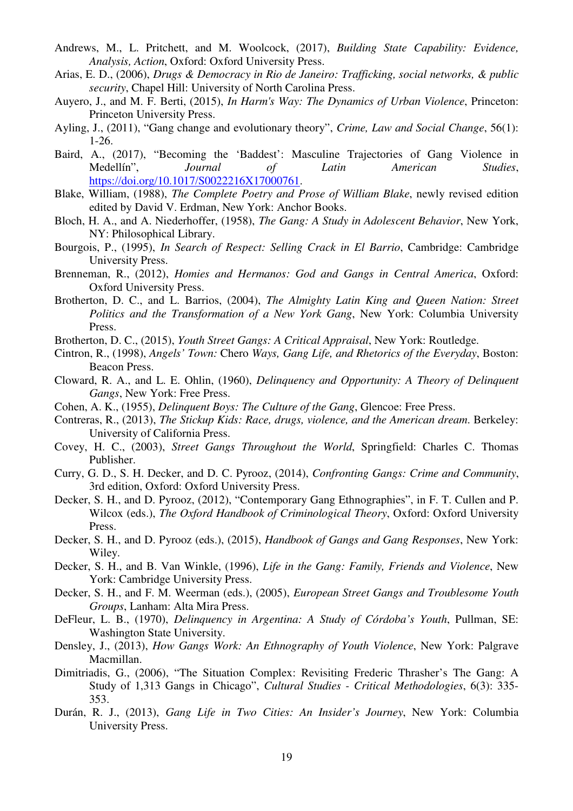- Andrews, M., L. Pritchett, and M. Woolcock, (2017), *Building State Capability: Evidence, Analysis, Action*, Oxford: Oxford University Press.
- Arias, E. D., (2006), *Drugs & Democracy in Rio de Janeiro: Trafficking, social networks, & public security*, Chapel Hill: University of North Carolina Press.
- Auyero, J., and M. F. Berti, (2015), *In Harm's Way: The Dynamics of Urban Violence*, Princeton: Princeton University Press.
- Ayling, J., (2011), "Gang change and evolutionary theory", *Crime, Law and Social Change*, 56(1): 1-26.
- Baird, A., (2017), "Becoming the 'Baddest': Masculine Trajectories of Gang Violence in Medellín", *Journal of Latin American Studies*, https://doi.org/10.1017/S0022216X17000761.
- Blake, William, (1988), *The Complete Poetry and Prose of William Blake*, newly revised edition edited by David V. Erdman, New York: Anchor Books.
- Bloch, H. A., and A. Niederhoffer, (1958), *The Gang: A Study in Adolescent Behavior*, New York, NY: Philosophical Library.
- Bourgois, P., (1995), *In Search of Respect: Selling Crack in El Barrio*, Cambridge: Cambridge University Press.
- Brenneman, R., (2012), *Homies and Hermanos: God and Gangs in Central America*, Oxford: Oxford University Press.
- Brotherton, D. C., and L. Barrios, (2004), *The Almighty Latin King and Queen Nation: Street Politics and the Transformation of a New York Gang*, New York: Columbia University Press.
- Brotherton, D. C., (2015), *Youth Street Gangs: A Critical Appraisal*, New York: Routledge.
- Cintron, R., (1998), *Angels' Town:* Chero *Ways, Gang Life, and Rhetorics of the Everyday*, Boston: Beacon Press.
- Cloward, R. A., and L. E. Ohlin, (1960), *Delinquency and Opportunity: A Theory of Delinquent Gangs*, New York: Free Press.
- Cohen, A. K., (1955), *Delinquent Boys: The Culture of the Gang*, Glencoe: Free Press.
- Contreras, R., (2013), *The Stickup Kids: Race, drugs, violence, and the American dream*. Berkeley: University of California Press.
- Covey, H. C., (2003), *Street Gangs Throughout the World*, Springfield: Charles C. Thomas Publisher.
- Curry, G. D., S. H. Decker, and D. C. Pyrooz, (2014), *Confronting Gangs: Crime and Community*, 3rd edition, Oxford: Oxford University Press.
- Decker, S. H., and D. Pyrooz, (2012), "Contemporary Gang Ethnographies", in F. T. Cullen and P. Wilcox (eds.), *The Oxford Handbook of Criminological Theory*, Oxford: Oxford University Press.
- Decker, S. H., and D. Pyrooz (eds.), (2015), *Handbook of Gangs and Gang Responses*, New York: Wiley.
- Decker, S. H., and B. Van Winkle, (1996), *Life in the Gang: Family, Friends and Violence*, New York: Cambridge University Press.
- Decker, S. H., and F. M. Weerman (eds.), (2005), *European Street Gangs and Troublesome Youth Groups*, Lanham: Alta Mira Press.
- DeFleur, L. B., (1970), *Delinquency in Argentina: A Study of Córdoba's Youth*, Pullman, SE: Washington State University.
- Densley, J., (2013), *How Gangs Work: An Ethnography of Youth Violence*, New York: Palgrave Macmillan.
- Dimitriadis, G., (2006), "The Situation Complex: Revisiting Frederic Thrasher's The Gang: A Study of 1,313 Gangs in Chicago", *Cultural Studies - Critical Methodologies*, 6(3): 335- 353.
- Durán, R. J., (2013), *Gang Life in Two Cities: An Insider's Journey*, New York: Columbia University Press.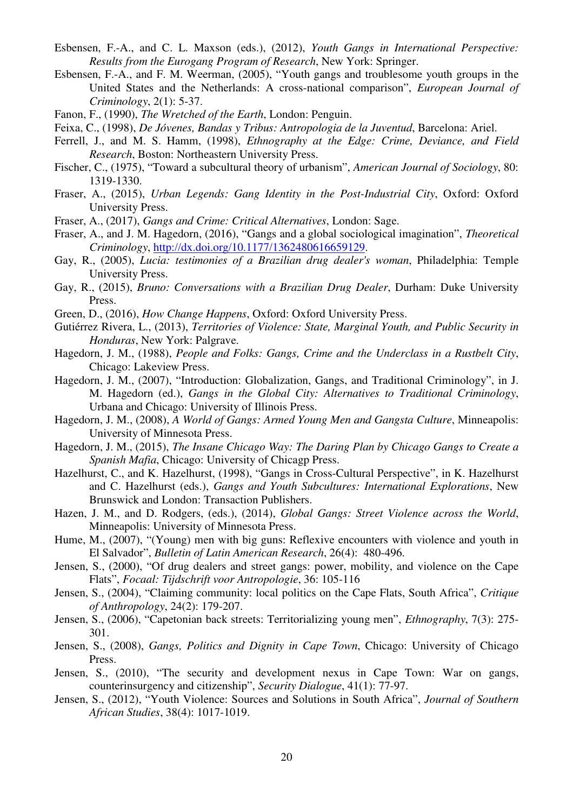- Esbensen, F.-A., and C. L. Maxson (eds.), (2012), *Youth Gangs in International Perspective: Results from the Eurogang Program of Research*, New York: Springer.
- Esbensen, F.-A., and F. M. Weerman, (2005), "Youth gangs and troublesome youth groups in the United States and the Netherlands: A cross-national comparison", *European Journal of Criminology*, 2(1): 5-37.
- Fanon, F., (1990), *The Wretched of the Earth*, London: Penguin.
- Feixa, C., (1998), *De Jóvenes, Bandas y Tribus: Antropologia de la Juventud*, Barcelona: Ariel.
- Ferrell, J., and M. S. Hamm, (1998), *Ethnography at the Edge: Crime, Deviance, and Field Research*, Boston: Northeastern University Press.
- Fischer, C., (1975), "Toward a subcultural theory of urbanism", *American Journal of Sociology*, 80: 1319-1330.
- Fraser, A., (2015), *Urban Legends: Gang Identity in the Post-Industrial City*, Oxford: Oxford University Press.
- Fraser, A., (2017), *Gangs and Crime: Critical Alternatives*, London: Sage.
- Fraser, A., and J. M. Hagedorn, (2016), "Gangs and a global sociological imagination", *Theoretical Criminology*, http://dx.doi.org/10.1177/1362480616659129.
- Gay, R., (2005), *Lucia: testimonies of a Brazilian drug dealer's woman*, Philadelphia: Temple University Press.
- Gay, R., (2015), *Bruno: Conversations with a Brazilian Drug Dealer*, Durham: Duke University Press.
- Green, D., (2016), *How Change Happens*, Oxford: Oxford University Press.
- Gutiérrez Rivera, L., (2013), *Territories of Violence: State, Marginal Youth, and Public Security in Honduras*, New York: Palgrave.
- Hagedorn, J. M., (1988), *People and Folks: Gangs, Crime and the Underclass in a Rustbelt City*, Chicago: Lakeview Press.
- Hagedorn, J. M., (2007), "Introduction: Globalization, Gangs, and Traditional Criminology", in J. M. Hagedorn (ed.), *Gangs in the Global City: Alternatives to Traditional Criminology*, Urbana and Chicago: University of Illinois Press.
- Hagedorn, J. M., (2008), *A World of Gangs: Armed Young Men and Gangsta Culture*, Minneapolis: University of Minnesota Press.
- Hagedorn, J. M., (2015), *The Insane Chicago Way: The Daring Plan by Chicago Gangs to Create a Spanish Mafia*, Chicago: University of Chicagp Press.
- Hazelhurst, C., and K. Hazelhurst, (1998), "Gangs in Cross-Cultural Perspective", in K. Hazelhurst and C. Hazelhurst (eds.), *Gangs and Youth Subcultures: International Explorations*, New Brunswick and London: Transaction Publishers.
- Hazen, J. M., and D. Rodgers, (eds.), (2014), *Global Gangs: Street Violence across the World*, Minneapolis: University of Minnesota Press.
- Hume, M., (2007), "(Young) men with big guns: Reflexive encounters with violence and youth in El Salvador", *Bulletin of Latin American Research*, 26(4): 480-496.
- Jensen, S., (2000), "Of drug dealers and street gangs: power, mobility, and violence on the Cape Flats", *Focaal: Tijdschrift voor Antropologie*, 36: 105-116
- Jensen, S., (2004), "Claiming community: local politics on the Cape Flats, South Africa", *Critique of Anthropology*, 24(2): 179-207.
- Jensen, S., (2006), "Capetonian back streets: Territorializing young men", *Ethnography*, 7(3): 275- 301.
- Jensen, S., (2008), *Gangs, Politics and Dignity in Cape Town*, Chicago: University of Chicago Press.
- Jensen, S., (2010), "The security and development nexus in Cape Town: War on gangs, counterinsurgency and citizenship", *Security Dialogue*, 41(1): 77-97.
- Jensen, S., (2012), "Youth Violence: Sources and Solutions in South Africa", *Journal of Southern African Studies*, 38(4): 1017-1019.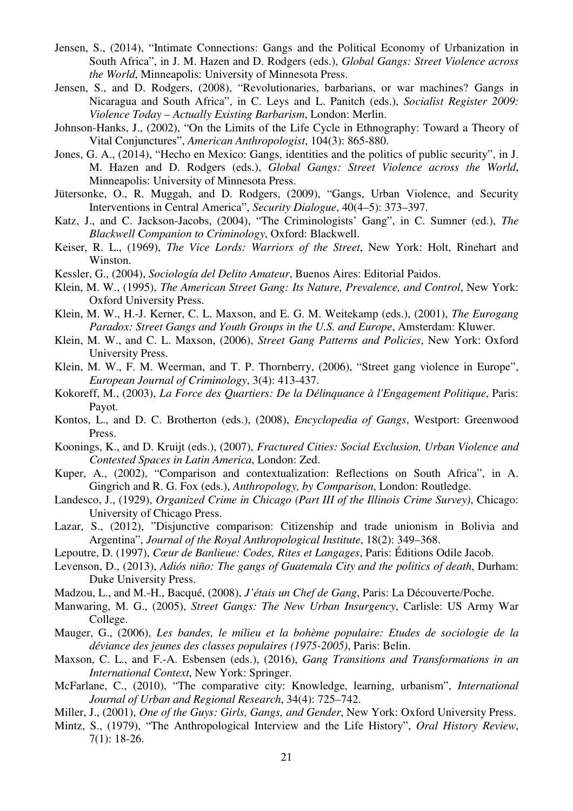- Jensen, S., (2014), "Intimate Connections: Gangs and the Political Economy of Urbanization in South Africa", in J. M. Hazen and D. Rodgers (eds.), *Global Gangs: Street Violence across the World*, Minneapolis: University of Minnesota Press.
- Jensen, S., and D. Rodgers, (2008), "Revolutionaries, barbarians, or war machines? Gangs in Nicaragua and South Africa", in C. Leys and L. Panitch (eds.), *Socialist Register 2009: Violence Today – Actually Existing Barbarism*, London: Merlin.
- Johnson-Hanks, J., (2002), "On the Limits of the Life Cycle in Ethnography: Toward a Theory of Vital Conjunctures", *American Anthropologist*, 104(3): 865-880.
- Jones, G. A., (2014), "Hecho en Mexico: Gangs, identities and the politics of public security", in J. M. Hazen and D. Rodgers (eds.), *Global Gangs: Street Violence across the World*, Minneapolis: University of Minnesota Press.
- Jütersonke, O., R. Muggah, and D. Rodgers, (2009), "Gangs, Urban Violence, and Security Interventions in Central America", *Security Dialogue*, 40(4–5): 373–397.
- Katz, J., and C. Jackson-Jacobs, (2004), "The Criminologists' Gang", in C. Sumner (ed.), *The Blackwell Companion to Criminology*, Oxford: Blackwell.
- Keiser, R. L., (1969), *The Vice Lords: Warriors of the Street*, New York: Holt, Rinehart and Winston.
- Kessler, G., (2004), *Sociología del Delito Amateur*, Buenos Aires: Editorial Paidos.
- Klein, M. W., (1995), *The American Street Gang: Its Nature, Prevalence, and Control*, New York: Oxford University Press.
- Klein, M. W., H.-J. Kerner, C. L. Maxson, and E. G. M. Weitekamp (eds.), (2001), *The Eurogang Paradox: Street Gangs and Youth Groups in the U.S. and Europe*, Amsterdam: Kluwer.
- Klein, M. W., and C. L. Maxson, (2006), *Street Gang Patterns and Policies*, New York: Oxford University Press.
- Klein, M. W., F. M. Weerman, and T. P. Thornberry, (2006), "Street gang violence in Europe", *European Journal of Criminology*, 3(4): 413-437.
- Kokoreff, M., (2003), *La Force des Quartiers: De la Délinquance à l'Engagement Politique*, Paris: Payot.
- Kontos, L., and D. C. Brotherton (eds.), (2008), *Encyclopedia of Gangs*, Westport: Greenwood Press.
- Koonings, K., and D. Kruijt (eds.), (2007), *Fractured Cities: Social Exclusion, Urban Violence and Contested Spaces in Latin America*, London: Zed.
- Kuper, A., (2002), "Comparison and contextualization: Reflections on South Africa", in A. Gingrich and R. G. Fox (eds.), *Anthropology, by Comparison*, London: Routledge.
- Landesco, J., (1929), *Organized Crime in Chicago (Part III of the Illinois Crime Survey)*, Chicago: University of Chicago Press.
- Lazar, S., (2012), "Disjunctive comparison: Citizenship and trade unionism in Bolivia and Argentina", *Journal of the Royal Anthropological Institute*, 18(2): 349–368.
- Lepoutre, D. (1997), *Cœur de Banlieue: Codes, Rites et Langages*, Paris: Éditions Odile Jacob.
- Levenson, D., (2013), *Adiós niño: The gangs of Guatemala City and the politics of death*, Durham: Duke University Press.
- Madzou, L., and M.-H., Bacqué, (2008), *J'étais un Chef de Gang*, Paris: La Découverte/Poche.
- Manwaring, M. G., (2005), *Street Gangs: The New Urban Insurgency*, Carlisle: US Army War College.
- Mauger, G., (2006), *Les bandes, le milieu et la bohème populaire: Etudes de sociologie de la déviance des jeunes des classes populaires (1975-2005)*, Paris: Belin.
- Maxson, C. L., and F.-A. Esbensen (eds.), (2016), *Gang Transitions and Transformations in an International Context*, New York: Springer.
- McFarlane, C., (2010), "The comparative city: Knowledge, learning, urbanism", *International Journal of Urban and Regional Research*, 34(4): 725–742.
- Miller, J., (2001), *One of the Guys: Girls, Gangs, and Gender*, New York: Oxford University Press.
- Mintz, S., (1979), "The Anthropological Interview and the Life History", *Oral History Review*, 7(1): 18-26.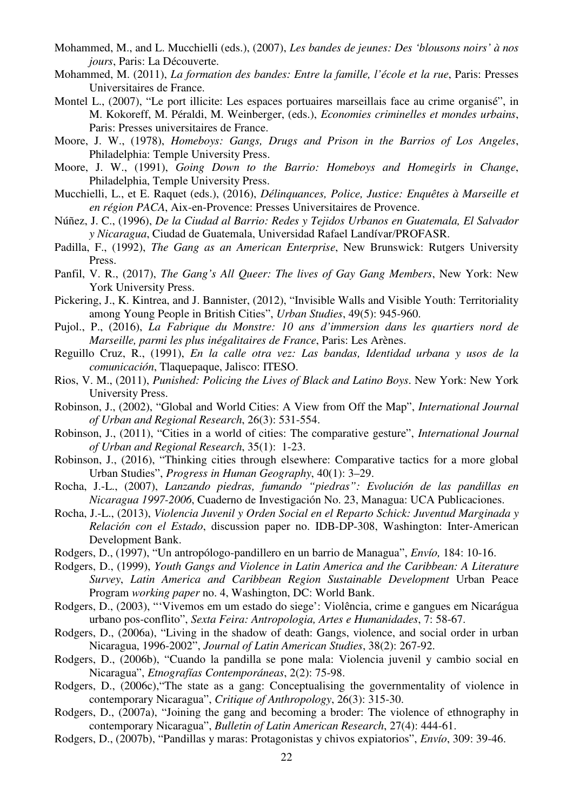- Mohammed, M., and L. Mucchielli (eds.), (2007), *Les bandes de jeunes: Des 'blousons noirs' à nos jours*, Paris: La Découverte.
- Mohammed, M. (2011), *La formation des bandes: Entre la famille, l'école et la rue*, Paris: Presses Universitaires de France.
- Montel L., (2007), "Le port illicite: Les espaces portuaires marseillais face au crime organisé", in M. Kokoreff, M. Péraldi, M. Weinberger, (eds.), *Economies criminelles et mondes urbains*, Paris: Presses universitaires de France.
- Moore, J. W., (1978), *Homeboys: Gangs, Drugs and Prison in the Barrios of Los Angeles*, Philadelphia: Temple University Press.
- Moore, J. W., (1991), *Going Down to the Barrio: Homeboys and Homegirls in Change*, Philadelphia, Temple University Press.
- Mucchielli, L., et E. Raquet (eds.), (2016), *Délinquances, Police, Justice: Enquêtes à Marseille et en région PACA*, Aix-en-Provence: Presses Universitaires de Provence.
- Núñez, J. C., (1996), *De la Ciudad al Barrio: Redes y Tejidos Urbanos en Guatemala, El Salvador y Nicaragua*, Ciudad de Guatemala, Universidad Rafael Landívar/PROFASR.
- Padilla, F., (1992), *The Gang as an American Enterprise*, New Brunswick: Rutgers University Press.
- Panfil, V. R., (2017), *The Gang's All Queer: The lives of Gay Gang Members*, New York: New York University Press.
- Pickering, J., K. Kintrea, and J. Bannister, (2012), "Invisible Walls and Visible Youth: Territoriality among Young People in British Cities", *Urban Studies*, 49(5): 945-960.
- Pujol., P., (2016), *La Fabrique du Monstre: 10 ans d'immersion dans les quartiers nord de Marseille, parmi les plus inégalitaires de France*, Paris: Les Arènes.
- Reguillo Cruz, R., (1991), *En la calle otra vez: Las bandas, Identidad urbana y usos de la comunicación*, Tlaquepaque, Jalisco: ITESO.
- Rios, V. M., (2011), *Punished: Policing the Lives of Black and Latino Boys*. New York: New York University Press.
- Robinson, J., (2002), "Global and World Cities: A View from Off the Map", *International Journal of Urban and Regional Research*, 26(3): 531-554.
- Robinson, J., (2011), "Cities in a world of cities: The comparative gesture", *International Journal of Urban and Regional Research*, 35(1): 1-23.
- Robinson, J., (2016), "Thinking cities through elsewhere: Comparative tactics for a more global Urban Studies", *Progress in Human Geography*, 40(1): 3–29.
- Rocha, J.-L., (2007), *Lanzando piedras, fumando "piedras": Evolución de las pandillas en Nicaragua 1997-2006*, Cuaderno de Investigación No. 23, Managua: UCA Publicaciones.
- Rocha, J.-L., (2013), *Violencia Juvenil y Orden Social en el Reparto Schick: Juventud Marginada y Relación con el Estado*, discussion paper no. IDB-DP-308, Washington: Inter-American Development Bank.
- Rodgers, D., (1997), "Un antropólogo-pandillero en un barrio de Managua", *Envío,* 184: 10-16.
- Rodgers, D., (1999), *Youth Gangs and Violence in Latin America and the Caribbean: A Literature Survey*, *Latin America and Caribbean Region Sustainable Development* Urban Peace Program *working paper* no. 4, Washington, DC: World Bank.
- Rodgers, D., (2003), "'Vivemos em um estado do siege': Violência, crime e gangues em Nicarágua urbano pos-conflito", *Sexta Feira: Antropologia, Artes e Humanidades*, 7: 58-67.
- Rodgers, D., (2006a), "Living in the shadow of death: Gangs, violence, and social order in urban Nicaragua, 1996-2002", *Journal of Latin American Studies*, 38(2): 267-92.
- Rodgers, D., (2006b), "Cuando la pandilla se pone mala: Violencia juvenil y cambio social en Nicaragua", *Etnografías Contemporáneas*, 2(2): 75-98.
- Rodgers, D., (2006c),"The state as a gang: Conceptualising the governmentality of violence in contemporary Nicaragua", *Critique of Anthropology*, 26(3): 315-30.
- Rodgers, D., (2007a), "Joining the gang and becoming a broder: The violence of ethnography in contemporary Nicaragua", *Bulletin of Latin American Research*, 27(4): 444-61.
- Rodgers, D., (2007b), "Pandillas y maras: Protagonistas y chivos expiatorios", *Envío*, 309: 39-46.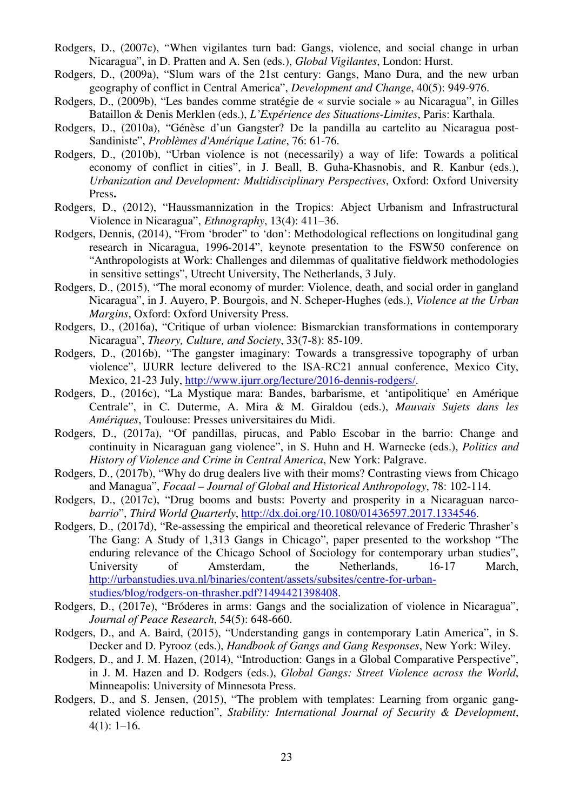- Rodgers, D., (2007c), "When vigilantes turn bad: Gangs, violence, and social change in urban Nicaragua", in D. Pratten and A. Sen (eds.), *Global Vigilantes*, London: Hurst.
- Rodgers, D., (2009a), "Slum wars of the 21st century: Gangs, Mano Dura, and the new urban geography of conflict in Central America", *Development and Change*, 40(5): 949-976.
- Rodgers, D., (2009b), "Les bandes comme stratégie de « survie sociale » au Nicaragua", in Gilles Bataillon & Denis Merklen (eds.), *L'Expérience des Situations-Limites*, Paris: Karthala.
- Rodgers, D., (2010a), "Génèse d'un Gangster? De la pandilla au cartelito au Nicaragua post-Sandiniste", *Problèmes d'Amérique Latine*, 76: 61-76.
- Rodgers, D., (2010b), "Urban violence is not (necessarily) a way of life: Towards a political economy of conflict in cities", in J. Beall, B. Guha-Khasnobis, and R. Kanbur (eds.), *Urbanization and Development: Multidisciplinary Perspectives*, Oxford: Oxford University Press**.**
- Rodgers, D., (2012), "Haussmannization in the Tropics: Abject Urbanism and Infrastructural Violence in Nicaragua", *Ethnography*, 13(4): 411–36.
- Rodgers, Dennis, (2014), "From 'broder" to 'don': Methodological reflections on longitudinal gang research in Nicaragua, 1996-2014", keynote presentation to the FSW50 conference on "Anthropologists at Work: Challenges and dilemmas of qualitative fieldwork methodologies in sensitive settings", Utrecht University, The Netherlands, 3 July.
- Rodgers, D., (2015), "The moral economy of murder: Violence, death, and social order in gangland Nicaragua", in J. Auyero, P. Bourgois, and N. Scheper-Hughes (eds.), *Violence at the Urban Margins*, Oxford: Oxford University Press.
- Rodgers, D., (2016a), "Critique of urban violence: Bismarckian transformations in contemporary Nicaragua", *Theory, Culture, and Society*, 33(7-8): 85-109.
- Rodgers, D., (2016b), "The gangster imaginary: Towards a transgressive topography of urban violence", IJURR lecture delivered to the ISA-RC21 annual conference, Mexico City, Mexico, 21-23 July, http://www.ijurr.org/lecture/2016-dennis-rodgers/.
- Rodgers, D., (2016c), "La Mystique mara: Bandes, barbarisme, et 'antipolitique' en Amérique Centrale", in C. Duterme, A. Mira & M. Giraldou (eds.), *Mauvais Sujets dans les Amériques*, Toulouse: Presses universitaires du Midi.
- Rodgers, D., (2017a), "Of pandillas, pirucas, and Pablo Escobar in the barrio: Change and continuity in Nicaraguan gang violence", in S. Huhn and H. Warnecke (eds.), *Politics and History of Violence and Crime in Central America*, New York: Palgrave.
- Rodgers, D., (2017b), "Why do drug dealers live with their moms? Contrasting views from Chicago and Managua", *Focaal – Journal of Global and Historical Anthropology*, 78: 102-114.
- Rodgers, D., (2017c), "Drug booms and busts: Poverty and prosperity in a Nicaraguan narco*barrio*", *Third World Quarterly*, http://dx.doi.org/10.1080/01436597.2017.1334546.
- Rodgers, D., (2017d), "Re-assessing the empirical and theoretical relevance of Frederic Thrasher's The Gang: A Study of 1,313 Gangs in Chicago", paper presented to the workshop "The enduring relevance of the Chicago School of Sociology for contemporary urban studies", University of Amsterdam, the Netherlands, 16-17 March, http://urbanstudies.uva.nl/binaries/content/assets/subsites/centre-for-urbanstudies/blog/rodgers-on-thrasher.pdf?1494421398408.
- Rodgers, D., (2017e), "Bróderes in arms: Gangs and the socialization of violence in Nicaragua", *Journal of Peace Research*, 54(5): 648-660.
- Rodgers, D., and A. Baird, (2015), "Understanding gangs in contemporary Latin America", in S. Decker and D. Pyrooz (eds.), *Handbook of Gangs and Gang Responses*, New York: Wiley.
- Rodgers, D., and J. M. Hazen, (2014), "Introduction: Gangs in a Global Comparative Perspective", in J. M. Hazen and D. Rodgers (eds.), *Global Gangs: Street Violence across the World*, Minneapolis: University of Minnesota Press.
- Rodgers, D., and S. Jensen, (2015), "The problem with templates: Learning from organic gangrelated violence reduction", *Stability: International Journal of Security & Development*,  $4(1): 1-16.$